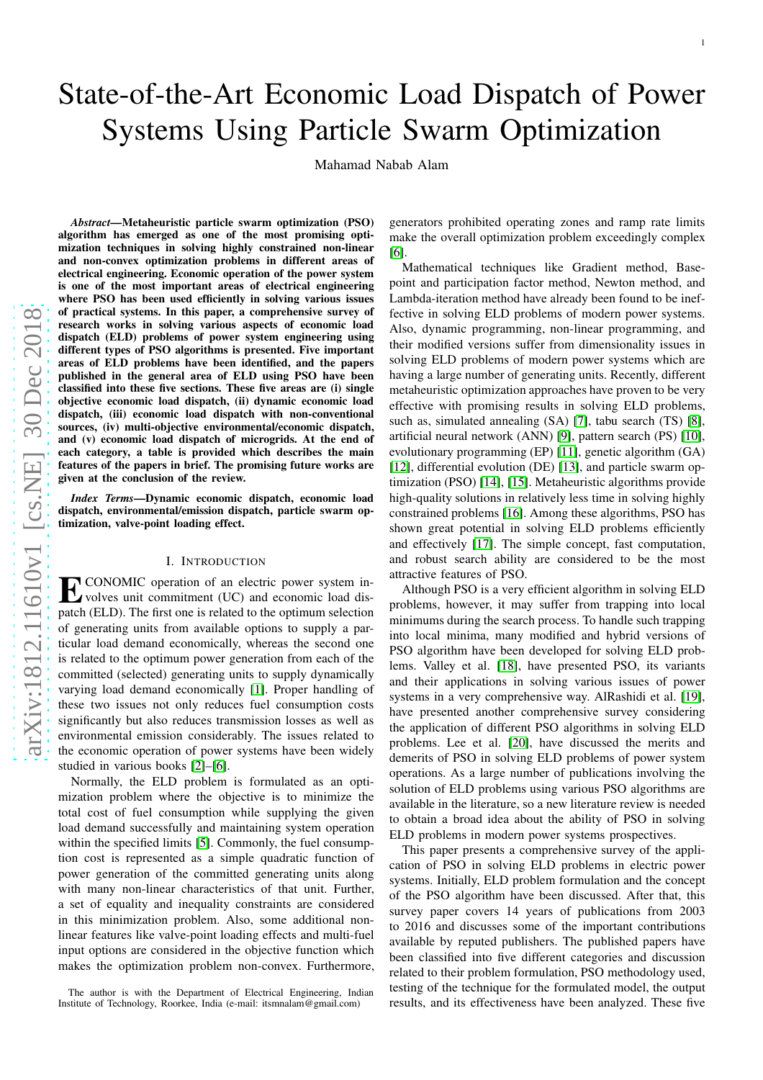# State-of-the-Art Economic Load Dispatch of Power Systems Using Particle Swarm Optimization

Mahamad Nabab Alam

*Abstract*—Metaheuristic particle swarm optimization (PSO) algorithm has emerged as one of the most promising optimization techniques in solving highly constrained non-linear and non-convex optimization problems in different areas of electrical engineering. Economic operation of the power system is one of the most important areas of electrical engineering where PSO has been used efficiently in solving various issues of practical systems. In this paper, a comprehensive survey of research works in solving various aspects of economic load dispatch (ELD) problems of power system engineering using different types of PSO algorithms is presented. Five important areas of ELD problems have been identified, and the papers published in the general area of ELD using PSO have been classified into these five sections. These five areas are (i) single objective economic load dispatch, (ii) dynamic economic load dispatch, (iii) economic load dispatch with non-conventional sources, (iv) multi-objective environmental/economic dispatch, and (v) economic load dispatch of microgrids. At the end of each category, a table is provided which describes the main features of the papers in brief. The promising future works are given at the conclusion of the review.

*Index Terms*—Dynamic economic dispatch, economic load dispatch, environmental/emission dispatch, particle swarm optimization, valve-point loading effect.

## I. INTRODUCTION

**EXECONOMIC** operation of an electric power system in-<br>volves unit commitment (UC) and economic load dis-<br>natch (ELD). The first are is related to the entimene election volves unit commitment (UC) and economic load dispatch (ELD). The first one is related to the optimum selection of generating units from available options to supply a particular load demand economically, whereas the second one is related to the optimum power generation from each of the committed (selected) generating units to supply dynamically varying load demand economically [\[1\]](#page-12-0). Proper handling of these two issues not only reduces fuel consumption costs significantly but also reduces transmission losses as well a s environmental emission considerably. The issues related t o the economic operation of power systems have been widely studied in various books [\[2\]](#page-12-1)–[\[6\]](#page-12-2).

Normally, the ELD problem is formulated as an optimization problem where the objective is to minimize the total cost of fuel consumption while supplying the given load demand successfully and maintaining system operation within the specified limits [\[5\]](#page-12-3). Commonly, the fuel consumption cost is represented as a simple quadratic function of power generation of the committed generating units along with many non-linear characteristics of that unit. Further , a set of equality and inequality constraints are considered in this minimization problem. Also, some additional nonlinear features like valve-point loading effects and multi-fuel input options are considered in the objective function whic h makes the optimization problem non-convex. Furthermore,

The author is with the Department of Electrical Engineering, Indian Institute of Technology, Roorkee, India (e-mail: itsmnalam@gmail.com)

generators prohibited operating zones and ramp rate limits make the overall optimization problem exceedingly complex [\[6\]](#page-12-2).

Mathematical techniques like Gradient method, Basepoint and participation factor method, Newton method, and Lambda-iteration method have already been found to be ineffective in solving ELD problems of modern power systems. Also, dynamic programming, non-linear programming, and their modified versions suffer from dimensionality issues i n solving ELD problems of modern power systems which are having a large number of generating units. Recently, different metaheuristic optimization approaches have proven to be very effective with promising results in solving ELD problems, such as, simulated annealing (SA) [\[7\]](#page-12-4), tabu search (TS) [\[8\]](#page-12-5), artificial neural network (ANN) [\[9\]](#page-12-6), pattern search (PS) [\[10\]](#page-12-7), evolutionary programming (EP) [\[11\]](#page-12-8), genetic algorithm (GA ) [\[12\]](#page-12-9), differential evolution (DE) [\[13\]](#page-12-10), and particle swarm optimization (PSO) [\[14\]](#page-12-11), [\[15\]](#page-12-12). Metaheuristic algorithms provide high-quality solutions in relatively less time in solving highly constrained problems [\[16\]](#page-12-13). Among these algorithms, PSO has shown great potential in solving ELD problems efficiently and effectively [\[17\]](#page-12-14). The simple concept, fast computation , and robust search ability are considered to be the most attractive features of PSO.

Although PSO is a very efficient algorithm in solving ELD problems, however, it may suffer from trapping into local minimums during the search process. To handle such trapping into local minima, many modified and hybrid versions of PSO algorithm have been developed for solving ELD problems. Valley et al. [\[18\]](#page-12-15), have presented PSO, its variants and their applications in solving various issues of power systems in a very comprehensive way. AlRashidi et al. [\[19\]](#page-12-16), have presented another comprehensive survey considering the application of different PSO algorithms in solving ELD problems. Lee et al. [\[20\]](#page-12-17), have discussed the merits and demerits of PSO in solving ELD problems of power system operations. As a large number of publications involving the solution of ELD problems using various PSO algorithms are available in the literature, so a new literature review is needed to obtain a broad idea about the ability of PSO in solving ELD problems in modern power systems prospectives.

This paper presents a comprehensive survey of the application of PSO in solving ELD problems in electric power systems. Initially, ELD problem formulation and the concep t of the PSO algorithm have been discussed. After that, this survey paper covers 14 years of publications from 2003 to 2016 and discusses some of the important contributions available by reputed publishers. The published papers have been classified into five different categories and discussio n related to their problem formulation, PSO methodology used , testing of the technique for the formulated model, the outpu t results, and its effectiveness have been analyzed. These fiv e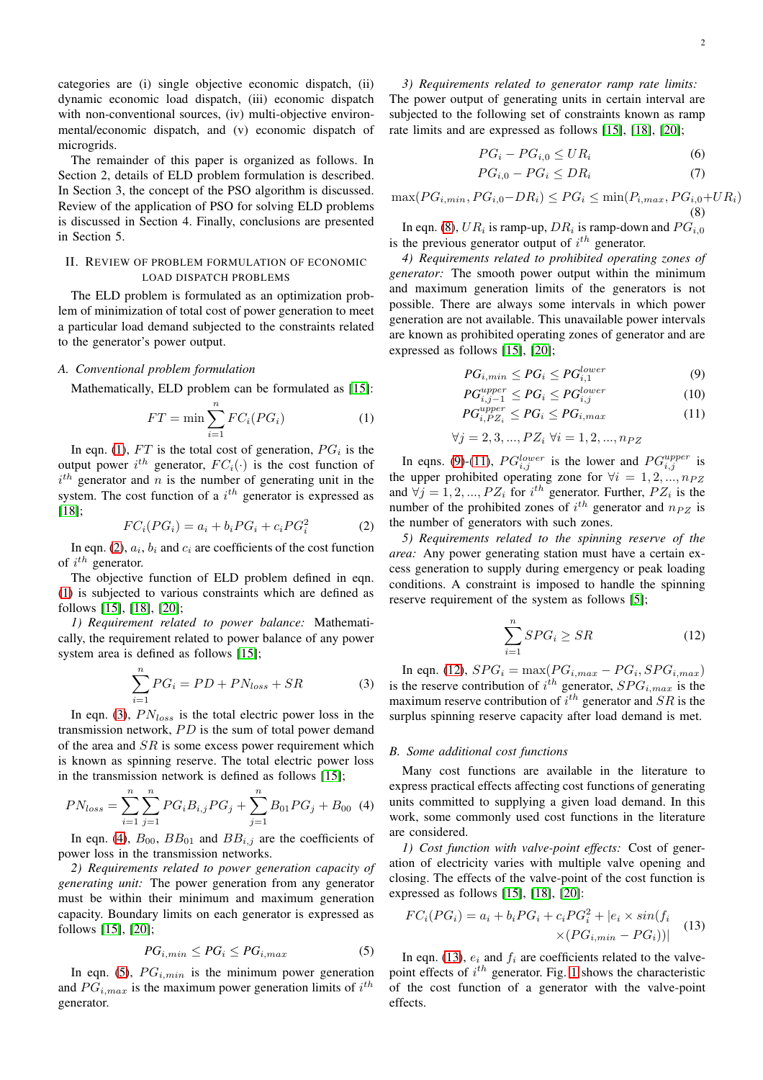categories are (i) single objective economic dispatch, (ii) dynamic economic load dispatch, (iii) economic dispatch with non-conventional sources, (iv) multi-objective environmental/economic dispatch, and (v) economic dispatch of microgrids.

The remainder of this paper is organized as follows. In Section 2, details of ELD problem formulation is described. In Section 3, the concept of the PSO algorithm is discussed. Review of the application of PSO for solving ELD problems is discussed in Section 4. Finally, conclusions are presented in Section 5.

## II. REVIEW OF PROBLEM FORMULATION OF ECONOMIC LOAD DISPATCH PROBLEMS

The ELD problem is formulated as an optimization problem of minimization of total cost of power generation to meet a particular load demand subjected to the constraints related to the generator's power output.

#### *A. Conventional problem formulation*

Mathematically, ELD problem can be formulated as [\[15\]](#page-12-12):

<span id="page-1-0"></span>
$$
FT = \min \sum_{i=1}^{n} FC_i(PG_i)
$$
 (1)

In eqn. [\(1\)](#page-1-0),  $FT$  is the total cost of generation,  $PG<sub>i</sub>$  is the output power  $i^{th}$  generator,  $FC_i(\cdot)$  is the cost function of  $i<sup>th</sup>$  generator and n is the number of generating unit in the system. The cost function of a  $i<sup>th</sup>$  generator is expressed as [\[18\]](#page-12-15);

<span id="page-1-1"></span>
$$
FC_i(PG_i) = a_i + b_i PG_i + c_i PG_i^2 \tag{2}
$$

In eqn. [\(2\)](#page-1-1),  $a_i$ ,  $b_i$  and  $c_i$  are coefficients of the cost function of  $i^{th}$  generator.

The objective function of ELD problem defined in eqn. [\(1\)](#page-1-0) is subjected to various constraints which are defined as follows [\[15\]](#page-12-12), [\[18\]](#page-12-15), [\[20\]](#page-12-17);

*1) Requirement related to power balance:* Mathematically, the requirement related to power balance of any power system area is defined as follows [\[15\]](#page-12-12);

<span id="page-1-2"></span>
$$
\sum_{i=1}^{n} PG_i = PD + PN_{loss} + SR \tag{3}
$$

In eqn. [\(3\)](#page-1-2),  $PN<sub>loss</sub>$  is the total electric power loss in the transmission network,  $PD$  is the sum of total power demand of the area and  $SR$  is some excess power requirement which is known as spinning reserve. The total electric power loss in the transmission network is defined as follows [\[15\]](#page-12-12);

<span id="page-1-3"></span>
$$
PN_{loss} = \sum_{i=1}^{n} \sum_{j=1}^{n} PG_i B_{i,j} PG_j + \sum_{j=1}^{n} B_{01} PG_j + B_{00} \tag{4}
$$

In eqn. [\(4\)](#page-1-3),  $B_{00}$ ,  $BB_{01}$  and  $BB_{i,j}$  are the coefficients of power loss in the transmission networks.

*2) Requirements related to power generation capacity of generating unit:* The power generation from any generator must be within their minimum and maximum generation capacity. Boundary limits on each generator is expressed as follows [\[15\]](#page-12-12), [\[20\]](#page-12-17);

<span id="page-1-4"></span>
$$
PG_{i,min} \le PG_i \le PG_{i,max} \tag{5}
$$

In eqn. [\(5\)](#page-1-4),  $PG_{i,min}$  is the minimum power generation and  $PG_{i,max}$  is the maximum power generation limits of  $i^{th}$ generator.

*3) Requirements related to generator ramp rate limits:* The power output of generating units in certain interval are subjected to the following set of constraints known as ramp rate limits and are expressed as follows [\[15\]](#page-12-12), [\[18\]](#page-12-15), [\[20\]](#page-12-17);

$$
PG_i - PG_{i,0} \le UR_i \tag{6}
$$

$$
PG_{i,0} - PG_i \le DR_i \tag{7}
$$

<span id="page-1-5"></span> $\max(PG_{i,min}, PG_{i,0} - DR_i) \le PG_i \le \min(P_{i,max}, PG_{i,0} + UR_i)$ (8)

In eqn. [\(8\)](#page-1-5),  $UR_i$  is ramp-up,  $DR_i$  is ramp-down and  $PG_{i,0}$ is the previous generator output of  $i^{th}$  generator.

*4) Requirements related to prohibited operating zones of generator:* The smooth power output within the minimum and maximum generation limits of the generators is not possible. There are always some intervals in which power generation are not available. This unavailable power intervals are known as prohibited operating zones of generator and are expressed as follows [\[15\]](#page-12-12), [\[20\]](#page-12-17);

<span id="page-1-6"></span>
$$
PG_{i,min} \le PG_i \le PG_{i,1}^{lower} \tag{9}
$$

$$
PG_{i,j-1}^{upper} \le PG_i \le PG_{i,j}^{lower}
$$
 (10)

$$
PG_{i, PZ_i}^{upper} \le PG_i \le PG_{i, max} \tag{11}
$$

$$
\forall j = 2, 3, ..., PZ_i \,\,\forall i = 1, 2, ..., n_{PZ}
$$

In eqns. [\(9\)](#page-1-6)-[\(11\)](#page-1-6),  $PG_{i,j}^{lower}$  is the lower and  $PG_{i,j}^{upper}$  is the upper prohibited operating zone for  $\forall i = 1, 2, ..., n_{PZ}$ and  $\forall j = 1, 2, ..., PZ_i$  for  $i^{th}$  generator. Further,  $PZ_i$  is the number of the prohibited zones of  $i^{th}$  generator and  $n_{PZ}$  is the number of generators with such zones.

*5) Requirements related to the spinning reserve of the area:* Any power generating station must have a certain excess generation to supply during emergency or peak loading conditions. A constraint is imposed to handle the spinning reserve requirement of the system as follows [\[5\]](#page-12-3);

<span id="page-1-7"></span>
$$
\sum_{i=1}^{n} SPG_i \ge SR \tag{12}
$$

In eqn. [\(12\)](#page-1-7),  $SPG_i = \max(PG_{i,max} - PG_i, SPG_{i,max})$ is the reserve contribution of  $i^{th}$  generator,  $SPG_{i,max}$  is the maximum reserve contribution of  $i^{th}$  generator and  $SR$  is the surplus spinning reserve capacity after load demand is met.

## *B. Some additional cost functions*

Many cost functions are available in the literature to express practical effects affecting cost functions of generating units committed to supplying a given load demand. In this work, some commonly used cost functions in the literature are considered.

*1) Cost function with valve-point effects:* Cost of generation of electricity varies with multiple valve opening and closing. The effects of the valve-point of the cost function is expressed as follows [\[15\]](#page-12-12), [\[18\]](#page-12-15), [\[20\]](#page-12-17):

<span id="page-1-8"></span>
$$
FC_i(PG_i) = a_i + b_i PG_i + c_i PG_i^2 + |e_i \times sin(f_i \times (PG_{i,min} - PG_i))|
$$
\n
$$
\times (PG_{i,min} - PG_i))
$$
\n
$$
(13)
$$

In eqn. [\(13\)](#page-1-8),  $e_i$  and  $f_i$  are coefficients related to the valvepoint effects of  $i^{th}$  generator. Fig. [1](#page-2-0) shows the characteristic of the cost function of a generator with the valve-point effects.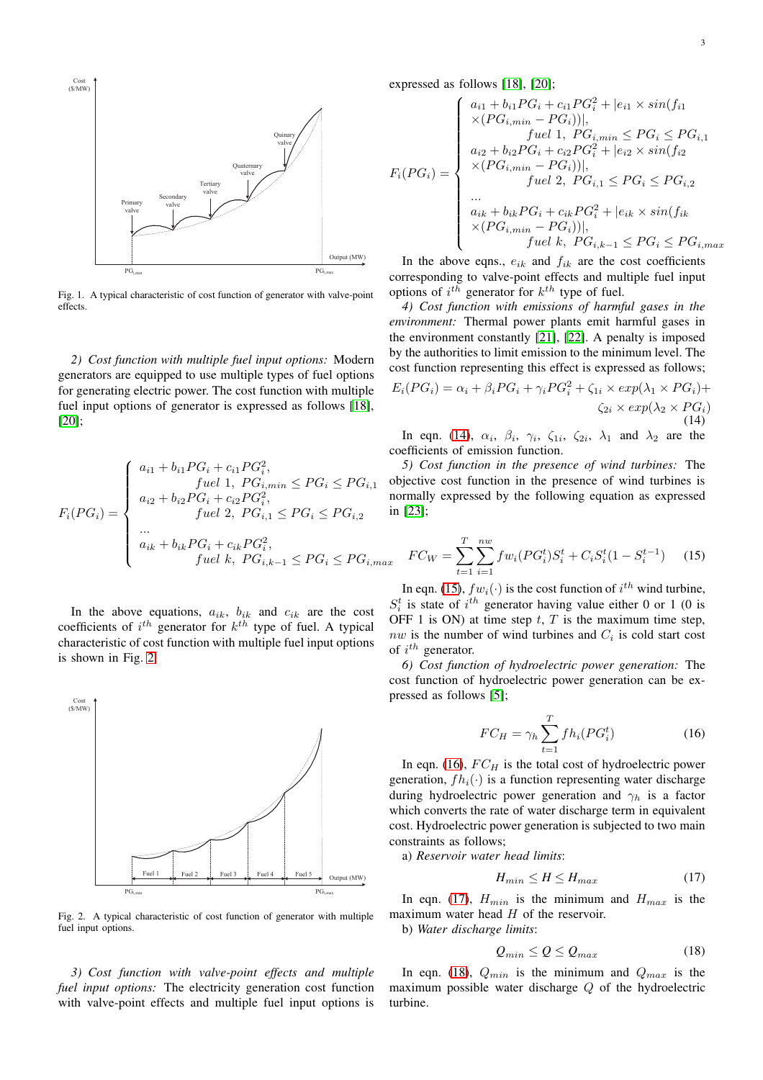

<span id="page-2-0"></span>Fig. 1. A typical characteristic of cost function of generator with valve-point effects.

*2) Cost function with multiple fuel input options:* Modern generators are equipped to use multiple types of fuel options for generating electric power. The cost function with multiple fuel input options of generator is expressed as follows [\[18\]](#page-12-15), [\[20\]](#page-12-17);

$$
F_i(PG_i) = \begin{cases} a_{i1} + b_{i1}PG_i + c_{i1}PG_i^2, & \text{  $fuel \ 1, PG_{i,min} \le PG_i \le PG_{i,1} \\ a_{i2} + b_{i2}PG_i + c_{i2}PG_i^2, & \text{  $fuel \ 2, PG_{i,1} \le PG_i \le PG_{i,2} \\ \cdots \\ a_{ik} + b_{ik}PG_i + c_{ik}PG_i^2, & \text{  $fuel \ k, PG_{i,k-1} \le PG_i \le PG_{i,max} \end{cases}$$$
$$

In the above equations,  $a_{ik}$ ,  $b_{ik}$  and  $c_{ik}$  are the cost coefficients of  $i^{th}$  generator for  $k^{th}$  type of fuel. A typical characteristic of cost function with multiple fuel input options is shown in Fig. [2.](#page-2-1)



<span id="page-2-1"></span>Fig. 2. A typical characteristic of cost function of generator with multiple fuel input options.

*3) Cost function with valve-point effects and multiple fuel input options:* The electricity generation cost function with valve-point effects and multiple fuel input options is

expressed as follows [\[18\]](#page-12-15), [\[20\]](#page-12-17);

$$
F_i(PG_i) = \begin{cases} a_{i1} + b_{i1}PG_i + c_{i1}PG_i^2 + |e_{i1} \times sin(f_{i1} \\ \times (PG_{i,min} - PG_i))|, \\ \text{ 1, } PG_{i,min} \le PG_i \le PG_{i,1} \\ a_{i2} + b_{i2}PG_i + c_{i2}PG_i^2 + |e_{i2} \times sin(f_{i2}) \\ \times (PG_{i,min} - PG_i)|), \\ \text{ 1, } \text{ 1, } \text{ 1, } \text{ 2, } PG_i \le PG_i \le PG_{i,2} \\ \dots \\ a_{ik} + b_{ik}PG_i + c_{ik}PG_i^2 + |e_{ik} \times sin(f_{ik}) \\ \times (PG_{i,min} - PG_i)|), \\ \text{ 1, } \text{ 1, } \text{ 2, } PG_i \le PG_i \le PG_{i,max} \end{cases}
$$

In the above eqns.,  $e_{ik}$  and  $f_{ik}$  are the cost coefficients corresponding to valve-point effects and multiple fuel input options of  $i^{th}$  generator for  $k^{th}$  type of fuel.

*4) Cost function with emissions of harmful gases in the environment:* Thermal power plants emit harmful gases in the environment constantly [\[21\]](#page-12-18), [\[22\]](#page-12-19). A penalty is imposed by the authorities to limit emission to the minimum level. The cost function representing this effect is expressed as follows;

<span id="page-2-2"></span>
$$
E_i(PG_i) = \alpha_i + \beta_i PG_i + \gamma_i PG_i^2 + \zeta_{1i} \times exp(\lambda_1 \times PG_i) + \zeta_{2i} \times exp(\lambda_2 \times PG_i)
$$
\n
$$
\zeta_{2i} \times exp(\lambda_2 \times PG_i)
$$
\n(14)

In eqn. [\(14\)](#page-2-2),  $\alpha_i$ ,  $\beta_i$ ,  $\gamma_i$ ,  $\zeta_{1i}$ ,  $\zeta_{2i}$ ,  $\lambda_1$  and  $\lambda_2$  are the coefficients of emission function.

*5) Cost function in the presence of wind turbines:* The objective cost function in the presence of wind turbines is normally expressed by the following equation as expressed in [\[23\]](#page-12-20);

<span id="page-2-3"></span>
$$
FC_W = \sum_{t=1}^{T} \sum_{i=1}^{nw} fw_i (PG_i^t) S_i^t + C_i S_i^t (1 - S_i^{t-1}) \tag{15}
$$

In eqn. [\(15\)](#page-2-3),  $fw_i(\cdot)$  is the cost function of  $i^{th}$  wind turbine,  $S_i^t$  is state of  $i^{th}$  generator having value either 0 or 1 (0 is OFF 1 is ON) at time step  $t$ ,  $T$  is the maximum time step,  $nw$  is the number of wind turbines and  $C_i$  is cold start cost of  $i^{th}$  generator.

*6) Cost function of hydroelectric power generation:* The cost function of hydroelectric power generation can be expressed as follows [\[5\]](#page-12-3);

<span id="page-2-4"></span>
$$
FC_H = \gamma_h \sum_{t=1}^{T} fh_i(PG_i^t)
$$
 (16)

In eqn. [\(16\)](#page-2-4),  $FC_H$  is the total cost of hydroelectric power generation,  $fh_i(\cdot)$  is a function representing water discharge during hydroelectric power generation and  $\gamma_h$  is a factor which converts the rate of water discharge term in equivalent cost. Hydroelectric power generation is subjected to two main constraints as follows;

a) *Reservoir water head limits*:

<span id="page-2-5"></span>
$$
H_{min} \le H \le H_{max} \tag{17}
$$

In eqn. [\(17\)](#page-2-5),  $H_{min}$  is the minimum and  $H_{max}$  is the maximum water head  $H$  of the reservoir.

b) *Water discharge limits*:

<span id="page-2-6"></span>
$$
Q_{min} \le Q \le Q_{max} \tag{18}
$$

In eqn. [\(18\)](#page-2-6),  $Q_{min}$  is the minimum and  $Q_{max}$  is the maximum possible water discharge Q of the hydroelectric turbine.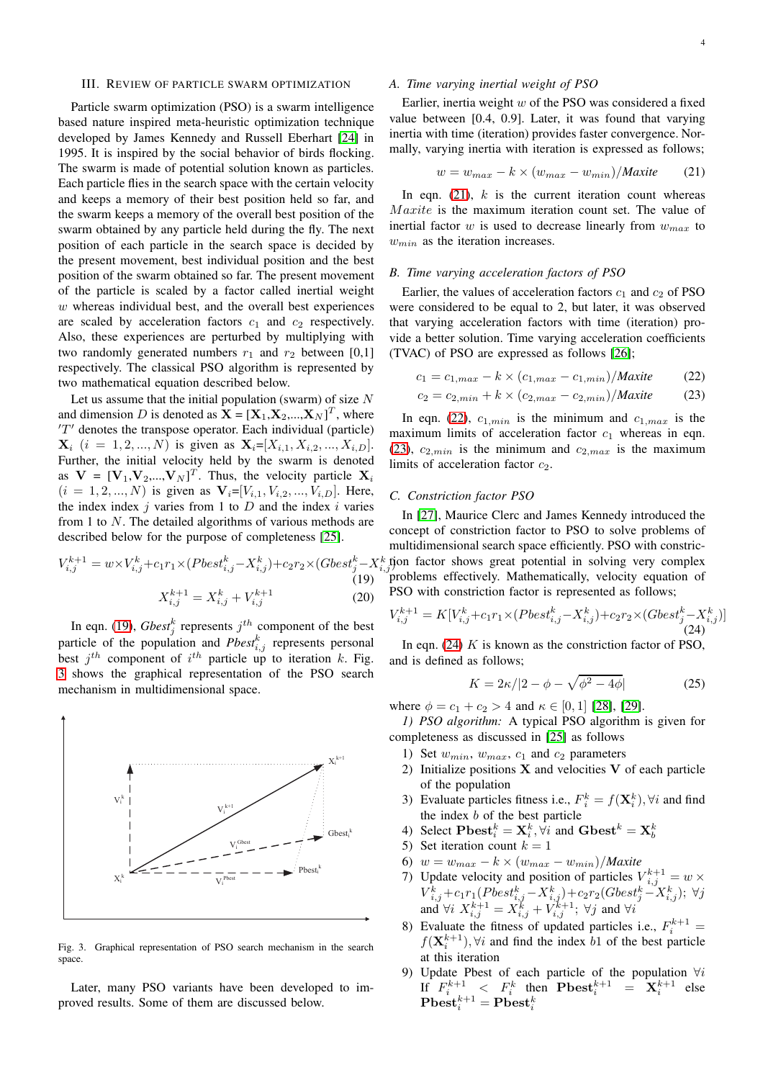#### III. REVIEW OF PARTICLE SWARM OPTIMIZATION

Particle swarm optimization (PSO) is a swarm intelligence based nature inspired meta-heuristic optimization technique developed by James Kennedy and Russell Eberhart [\[24\]](#page-12-21) in 1995. It is inspired by the social behavior of birds flocking. The swarm is made of potential solution known as particles. Each particle flies in the search space with the certain velocity and keeps a memory of their best position held so far, and the swarm keeps a memory of the overall best position of the swarm obtained by any particle held during the fly. The next position of each particle in the search space is decided by the present movement, best individual position and the best position of the swarm obtained so far. The present movement of the particle is scaled by a factor called inertial weight  $w$  whereas individual best, and the overall best experiences are scaled by acceleration factors  $c_1$  and  $c_2$  respectively. Also, these experiences are perturbed by multiplying with two randomly generated numbers  $r_1$  and  $r_2$  between [0,1] respectively. The classical PSO algorithm is represented by two mathematical equation described below.

Let us assume that the initial population (swarm) of size  $N$ and dimension D is denoted as  $\mathbf{X} = [\mathbf{X}_1, \mathbf{X}_2, ..., \mathbf{X}_N]^T$ , where  $'T'$  denotes the transpose operator. Each individual (particle)  $\mathbf{X}_i$  (i = 1, 2, ..., N) is given as  $\mathbf{X}_i = [X_{i,1}, X_{i,2}, ..., X_{i,D}].$ Further, the initial velocity held by the swarm is denoted as  $V = [V_1, V_2, ..., V_N]^T$ . Thus, the velocity particle  $X_i$  $(i = 1, 2, ..., N)$  is given as  $V_i = [V_{i,1}, V_{i,2}, ..., V_{i,D}]$ . Here, the index index j varies from 1 to  $D$  and the index i varies from 1 to  $N$ . The detailed algorithms of various methods are described below for the purpose of completeness [\[25\]](#page-12-22).

<span id="page-3-0"></span>
$$
V_{i,j}^{k+1} = w \times V_{i,j}^k + c_1 r_1 \times (Pbest_{i,j}^k - X_{i,j}^k) + c_2 r_2 \times (Gbest_j^k - X_{i,j}^k)
$$
\n(19)  
\n
$$
X_{i,j}^{k+1} = X_{i,j}^k + V_{i,j}^{k+1}
$$
\n(20)

In eqn. [\(19\)](#page-3-0),  $Gbest_j^k$  represents  $j^{th}$  component of the best particle of the population and  $Pbesr_{i,j}^k$  represents personal best  $j^{th}$  component of  $i^{th}$  particle up to iteration k. Fig. [3](#page-3-1) shows the graphical representation of the PSO search mechanism in multidimensional space.



<span id="page-3-1"></span>Fig. 3. Graphical representation of PSO search mechanism in the search space.

Later, many PSO variants have been developed to improved results. Some of them are discussed below.

## *A. Time varying inertial weight of PSO*

Earlier, inertia weight  $w$  of the PSO was considered a fixed value between [0.4, 0.9]. Later, it was found that varying inertia with time (iteration) provides faster convergence. Normally, varying inertia with iteration is expressed as follows;

<span id="page-3-2"></span>
$$
w = w_{max} - k \times (w_{max} - w_{min}) / \text{Maxite} \tag{21}
$$

In eqn.  $(21)$ , k is the current iteration count whereas Maxite is the maximum iteration count set. The value of inertial factor w is used to decrease linearly from  $w_{max}$  to  $w_{min}$  as the iteration increases.

## *B. Time varying acceleration factors of PSO*

Earlier, the values of acceleration factors  $c_1$  and  $c_2$  of PSO were considered to be equal to 2, but later, it was observed that varying acceleration factors with time (iteration) provide a better solution. Time varying acceleration coefficients (TVAC) of PSO are expressed as follows [\[26\]](#page-12-23);

<span id="page-3-3"></span>
$$
c_1 = c_{1,max} - k \times (c_{1,max} - c_{1,min}) / \text{Maxite} \tag{22}
$$

$$
c_2 = c_{2,min} + k \times (c_{2,max} - c_{2,min}) / \text{Maxite}
$$
 (23)

In eqn. [\(22\)](#page-3-3),  $c_{1,min}$  is the minimum and  $c_{1,max}$  is the maximum limits of acceleration factor  $c_1$  whereas in eqn. [\(23\)](#page-3-3),  $c_{2,min}$  is the minimum and  $c_{2,max}$  is the maximum limits of acceleration factor  $c_2$ .

## *C. Constriction factor PSO*

 $i,j$  tion factor shows great potential in solving very complex In [\[27\]](#page-12-24), Maurice Clerc and James Kennedy introduced the concept of constriction factor to PSO to solve problems of multidimensional search space efficiently. PSO with constricproblems effectively. Mathematically, velocity equation of PSO with constriction factor is represented as follows;

<span id="page-3-4"></span>
$$
V_{i,j}^{k+1} = K[V_{i,j}^k + c_1r_1 \times (Pbest_{i,j}^k - X_{i,j}^k) + c_2r_2 \times (Gbest_j^k - X_{i,j}^k)]
$$
\n(24)

In eqn.  $(24)$  K is known as the constriction factor of PSO, and is defined as follows;

$$
K = 2\kappa/|2 - \phi - \sqrt{\phi^2 - 4\phi}| \tag{25}
$$

where  $\phi = c_1 + c_2 > 4$  and  $\kappa \in [0, 1]$  [\[28\]](#page-12-25), [\[29\]](#page-12-26).

*1) PSO algorithm:* A typical PSO algorithm is given for completeness as discussed in [\[25\]](#page-12-22) as follows

- 1) Set  $w_{min}$ ,  $w_{max}$ ,  $c_1$  and  $c_2$  parameters
- 2) Initialize positions  $X$  and velocities  $V$  of each particle of the population
- 3) Evaluate particles fitness i.e.,  $F_i^k = f(\mathbf{X}_i^k), \forall i$  and find the index  $b$  of the best particle
- 4) Select  $\text{Pbest}_i^k = \mathbf{X}_i^k, \forall i$  and  $\text{Gbest}^k = \mathbf{X}_b^k$
- 5) Set iteration count  $k = 1$
- 6)  $w = w_{max} k \times (w_{max} w_{min})/$ *Maxite*
- 7) Update velocity and position of particles  $V_{i,j}^{k+1} = w \times$  ${V}_{i,j}^k+c_1r_1(Pbest_{i,j}^k-X_{i,j}^k)+c_2r_2(Gbest_{j}^k-X_{i,j}^k); \ \forall j$ and  $\forall i$   $X_{i,j}^{k+1} = X_{i,j}^k + V_{i,j}^{k+1}$ ;  $\forall j$  and  $\forall i$
- 8) Evaluate the fitness of updated particles i.e.,  $F_i^{k+1} =$  $f(\mathbf{X}_{i}^{k+1}), \forall i$  and find the index b1 of the best particle at this iteration
- 9) Update Pbest of each particle of the population  $\forall i$ If  $F_i^{k+1} < F_i^k$  then  $\textbf{Pbest}_i^{k+1} = \mathbf{X}_i^{k+1}$  else  $\textbf{Pbest}^{k+1}_i = \textbf{Pbest}^k_i$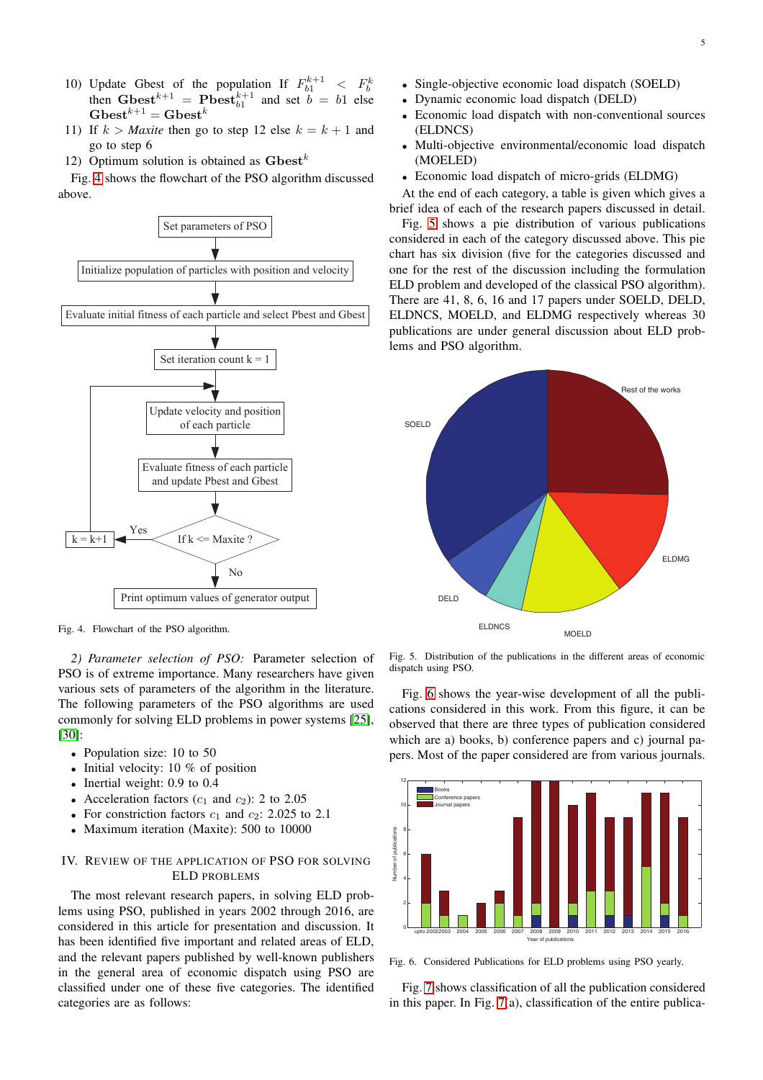- 10) Update Gbest of the population If  $F_{b1}^{k+1} < F_b^k$ then Gbest<sup> $k+1$ </sup> = Pbest $k+1$  and set  $b = b1$  else  $\mathbf{Gbest}^{k+1} = \mathbf{Gbest}^k$
- 11) If  $k > \text{Maxite}$  then go to step 12 else  $k = k + 1$  and go to step 6
- 12) Optimum solution is obtained as  $\mathbf{G}\mathbf{best}^k$

Fig. [4](#page-4-0) shows the flowchart of the PSO algorithm discussed above.



<span id="page-4-0"></span>Fig. 4. Flowchart of the PSO algorithm.

*2) Parameter selection of PSO:* Parameter selection of PSO is of extreme importance. Many researchers have given various sets of parameters of the algorithm in the literature. The following parameters of the PSO algorithms are used commonly for solving ELD problems in power systems [\[25\]](#page-12-22), [\[30\]](#page-12-27):

- Population size: 10 to 50
- Initial velocity: 10 % of position
- Inertial weight: 0.9 to 0.4
- Acceleration factors  $(c_1 \text{ and } c_2)$ : 2 to 2.05
- For constriction factors  $c_1$  and  $c_2$ : 2.025 to 2.1
- Maximum iteration (Maxite): 500 to 10000

## IV. REVIEW OF THE APPLICATION OF PSO FOR SOLVING ELD PROBLEMS

The most relevant research papers, in solving ELD problems using PSO, published in years 2002 through 2016, are considered in this article for presentation and discussion. It has been identified five important and related areas of ELD, and the relevant papers published by well-known publishers in the general area of economic dispatch using PSO are classified under one of these five categories. The identified categories are as follows:

- Single-objective economic load dispatch (SOELD)
- Dynamic economic load dispatch (DELD)
- Economic load dispatch with non-conventional sources (ELDNCS)
- Multi-objective environmental/economic load dispatch (MOELED)
- Economic load dispatch of micro-grids (ELDMG)

At the end of each category, a table is given which gives a brief idea of each of the research papers discussed in detail.

Fig. [5](#page-4-1) shows a pie distribution of various publications considered in each of the category discussed above. This pie chart has six division (five for the categories discussed and one for the rest of the discussion including the formulation ELD problem and developed of the classical PSO algorithm). There are 41, 8, 6, 16 and 17 papers under SOELD, DELD, ELDNCS, MOELD, and ELDMG respectively whereas 30 publications are under general discussion about ELD problems and PSO algorithm.



<span id="page-4-1"></span>Fig. 5. Distribution of the publications in the different areas of economic dispatch using PSO.

Fig. [6](#page-4-2) shows the year-wise development of all the publications considered in this work. From this figure, it can be observed that there are three types of publication considered which are a) books, b) conference papers and c) journal papers. Most of the paper considered are from various journals.



<span id="page-4-2"></span>Fig. 6. Considered Publications for ELD problems using PSO yearly.

Fig. [7](#page-5-0) shows classification of all the publication considered in this paper. In Fig.  $7(a)$ , classification of the entire publica-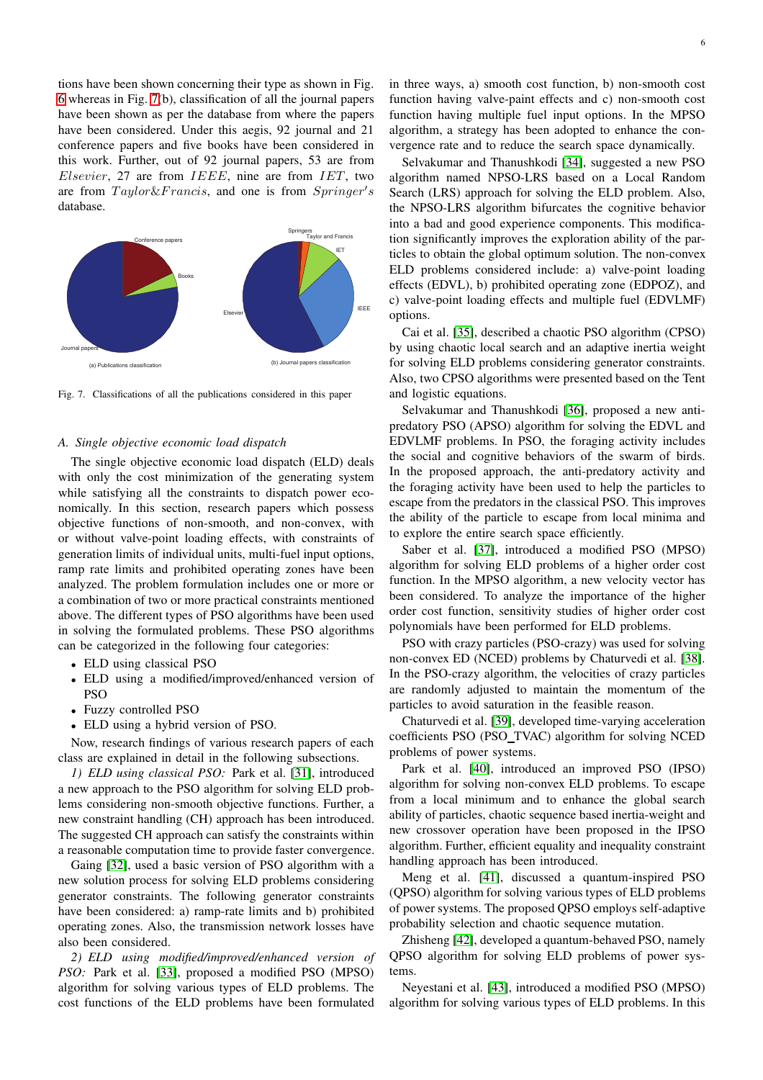tions have been shown concerning their type as shown in Fig. [6](#page-4-2) whereas in Fig. [7\(](#page-5-0)b), classification of all the journal papers have been shown as per the database from where the papers have been considered. Under this aegis, 92 journal and 21 conference papers and five books have been considered in this work. Further, out of 92 journal papers, 53 are from  $E$ lsevier, 27 are from  $IEEE$ , nine are from  $IET$ , two are from Taylor&Francis, and one is from Springer's database.



<span id="page-5-0"></span>Fig. 7. Classifications of all the publications considered in this paper

## *A. Single objective economic load dispatch*

The single objective economic load dispatch (ELD) deals with only the cost minimization of the generating system while satisfying all the constraints to dispatch power economically. In this section, research papers which possess objective functions of non-smooth, and non-convex, with or without valve-point loading effects, with constraints of generation limits of individual units, multi-fuel input options, ramp rate limits and prohibited operating zones have been analyzed. The problem formulation includes one or more or a combination of two or more practical constraints mentioned above. The different types of PSO algorithms have been used in solving the formulated problems. These PSO algorithms can be categorized in the following four categories:

- ELD using classical PSO
- ELD using a modified/improved/enhanced version of PSO
- Fuzzy controlled PSO
- ELD using a hybrid version of PSO.

Now, research findings of various research papers of each class are explained in detail in the following subsections.

*1) ELD using classical PSO:* Park et al. [\[31\]](#page-12-28), introduced a new approach to the PSO algorithm for solving ELD problems considering non-smooth objective functions. Further, a new constraint handling (CH) approach has been introduced. The suggested CH approach can satisfy the constraints within a reasonable computation time to provide faster convergence.

Gaing [\[32\]](#page-12-29), used a basic version of PSO algorithm with a new solution process for solving ELD problems considering generator constraints. The following generator constraints have been considered: a) ramp-rate limits and b) prohibited operating zones. Also, the transmission network losses have also been considered.

*2) ELD using modified/improved/enhanced version of PSO:* Park et al. [\[33\]](#page-12-30), proposed a modified PSO (MPSO) algorithm for solving various types of ELD problems. The cost functions of the ELD problems have been formulated

in three ways, a) smooth cost function, b) non-smooth cost function having valve-paint effects and c) non-smooth cost function having multiple fuel input options. In the MPSO algorithm, a strategy has been adopted to enhance the convergence rate and to reduce the search space dynamically.

Selvakumar and Thanushkodi [\[34\]](#page-12-31), suggested a new PSO algorithm named NPSO-LRS based on a Local Random Search (LRS) approach for solving the ELD problem. Also, the NPSO-LRS algorithm bifurcates the cognitive behavior into a bad and good experience components. This modification significantly improves the exploration ability of the particles to obtain the global optimum solution. The non-convex ELD problems considered include: a) valve-point loading effects (EDVL), b) prohibited operating zone (EDPOZ), and c) valve-point loading effects and multiple fuel (EDVLMF) options.

Cai et al. [\[35\]](#page-12-32), described a chaotic PSO algorithm (CPSO) by using chaotic local search and an adaptive inertia weight for solving ELD problems considering generator constraints. Also, two CPSO algorithms were presented based on the Tent and logistic equations.

Selvakumar and Thanushkodi [\[36\]](#page-12-33), proposed a new antipredatory PSO (APSO) algorithm for solving the EDVL and EDVLMF problems. In PSO, the foraging activity includes the social and cognitive behaviors of the swarm of birds. In the proposed approach, the anti-predatory activity and the foraging activity have been used to help the particles to escape from the predators in the classical PSO. This improves the ability of the particle to escape from local minima and to explore the entire search space efficiently.

Saber et al. [\[37\]](#page-12-34), introduced a modified PSO (MPSO) algorithm for solving ELD problems of a higher order cost function. In the MPSO algorithm, a new velocity vector has been considered. To analyze the importance of the higher order cost function, sensitivity studies of higher order cost polynomials have been performed for ELD problems.

PSO with crazy particles (PSO-crazy) was used for solving non-convex ED (NCED) problems by Chaturvedi et al. [\[38\]](#page-12-35). In the PSO-crazy algorithm, the velocities of crazy particles are randomly adjusted to maintain the momentum of the particles to avoid saturation in the feasible reason.

Chaturvedi et al. [\[39\]](#page-12-36), developed time-varying acceleration coefficients PSO (PSO\_TVAC) algorithm for solving NCED problems of power systems.

Park et al. [\[40\]](#page-12-37), introduced an improved PSO (IPSO) algorithm for solving non-convex ELD problems. To escape from a local minimum and to enhance the global search ability of particles, chaotic sequence based inertia-weight and new crossover operation have been proposed in the IPSO algorithm. Further, efficient equality and inequality constraint handling approach has been introduced.

Meng et al. [\[41\]](#page-12-38), discussed a quantum-inspired PSO (QPSO) algorithm for solving various types of ELD problems of power systems. The proposed QPSO employs self-adaptive probability selection and chaotic sequence mutation.

Zhisheng [\[42\]](#page-12-39), developed a quantum-behaved PSO, namely QPSO algorithm for solving ELD problems of power systems.

Neyestani et al. [\[43\]](#page-12-40), introduced a modified PSO (MPSO) algorithm for solving various types of ELD problems. In this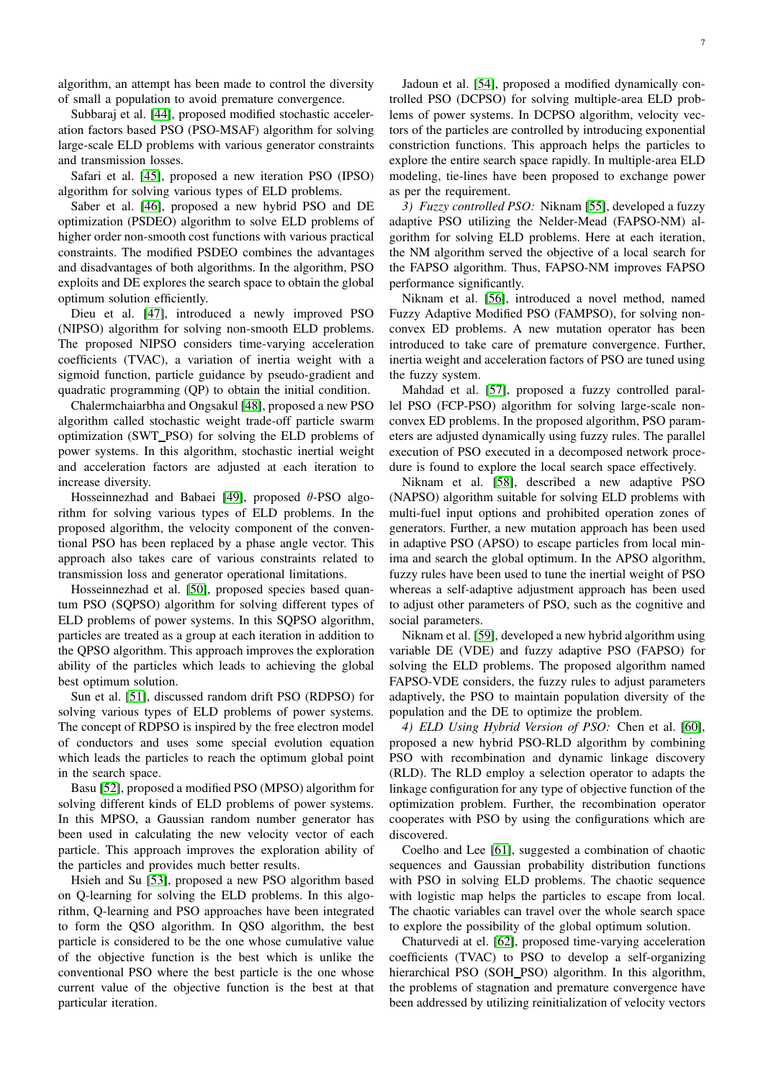algorithm, an attempt has been made to control the diversity of small a population to avoid premature convergence.

Subbaraj et al. [\[44\]](#page-12-41), proposed modified stochastic acceleration factors based PSO (PSO-MSAF) algorithm for solving large-scale ELD problems with various generator constraints and transmission losses.

Safari et al. [\[45\]](#page-13-0), proposed a new iteration PSO (IPSO) algorithm for solving various types of ELD problems.

Saber et al. [\[46\]](#page-13-1), proposed a new hybrid PSO and DE optimization (PSDEO) algorithm to solve ELD problems of higher order non-smooth cost functions with various practical constraints. The modified PSDEO combines the advantages and disadvantages of both algorithms. In the algorithm, PSO exploits and DE explores the search space to obtain the global optimum solution efficiently.

Dieu et al. [\[47\]](#page-13-2), introduced a newly improved PSO (NIPSO) algorithm for solving non-smooth ELD problems. The proposed NIPSO considers time-varying acceleration coefficients (TVAC), a variation of inertia weight with a sigmoid function, particle guidance by pseudo-gradient and quadratic programming (QP) to obtain the initial condition.

Chalermchaiarbha and Ongsakul [\[48\]](#page-13-3), proposed a new PSO algorithm called stochastic weight trade-off particle swarm optimization (SWT PSO) for solving the ELD problems of power systems. In this algorithm, stochastic inertial weight and acceleration factors are adjusted at each iteration to increase diversity.

Hosseinnezhad and Babaei [\[49\]](#page-13-4), proposed θ-PSO algorithm for solving various types of ELD problems. In the proposed algorithm, the velocity component of the conventional PSO has been replaced by a phase angle vector. This approach also takes care of various constraints related to transmission loss and generator operational limitations.

Hosseinnezhad et al. [\[50\]](#page-13-5), proposed species based quantum PSO (SQPSO) algorithm for solving different types of ELD problems of power systems. In this SQPSO algorithm, particles are treated as a group at each iteration in addition to the QPSO algorithm. This approach improves the exploration ability of the particles which leads to achieving the global best optimum solution.

Sun et al. [\[51\]](#page-13-6), discussed random drift PSO (RDPSO) for solving various types of ELD problems of power systems. The concept of RDPSO is inspired by the free electron model of conductors and uses some special evolution equation which leads the particles to reach the optimum global point in the search space.

Basu [\[52\]](#page-13-7), proposed a modified PSO (MPSO) algorithm for solving different kinds of ELD problems of power systems. In this MPSO, a Gaussian random number generator has been used in calculating the new velocity vector of each particle. This approach improves the exploration ability of the particles and provides much better results.

Hsieh and Su [\[53\]](#page-13-8), proposed a new PSO algorithm based on Q-learning for solving the ELD problems. In this algorithm, Q-learning and PSO approaches have been integrated to form the QSO algorithm. In QSO algorithm, the best particle is considered to be the one whose cumulative value of the objective function is the best which is unlike the conventional PSO where the best particle is the one whose current value of the objective function is the best at that particular iteration.

Jadoun et al. [\[54\]](#page-13-9), proposed a modified dynamically controlled PSO (DCPSO) for solving multiple-area ELD problems of power systems. In DCPSO algorithm, velocity vectors of the particles are controlled by introducing exponential constriction functions. This approach helps the particles to explore the entire search space rapidly. In multiple-area ELD modeling, tie-lines have been proposed to exchange power as per the requirement.

*3) Fuzzy controlled PSO:* Niknam [\[55\]](#page-13-10), developed a fuzzy adaptive PSO utilizing the Nelder-Mead (FAPSO-NM) algorithm for solving ELD problems. Here at each iteration, the NM algorithm served the objective of a local search for the FAPSO algorithm. Thus, FAPSO-NM improves FAPSO performance significantly.

Niknam et al. [\[56\]](#page-13-11), introduced a novel method, named Fuzzy Adaptive Modified PSO (FAMPSO), for solving nonconvex ED problems. A new mutation operator has been introduced to take care of premature convergence. Further, inertia weight and acceleration factors of PSO are tuned using the fuzzy system.

Mahdad et al. [\[57\]](#page-13-12), proposed a fuzzy controlled parallel PSO (FCP-PSO) algorithm for solving large-scale nonconvex ED problems. In the proposed algorithm, PSO parameters are adjusted dynamically using fuzzy rules. The parallel execution of PSO executed in a decomposed network procedure is found to explore the local search space effectively.

Niknam et al. [\[58\]](#page-13-13), described a new adaptive PSO (NAPSO) algorithm suitable for solving ELD problems with multi-fuel input options and prohibited operation zones of generators. Further, a new mutation approach has been used in adaptive PSO (APSO) to escape particles from local minima and search the global optimum. In the APSO algorithm, fuzzy rules have been used to tune the inertial weight of PSO whereas a self-adaptive adjustment approach has been used to adjust other parameters of PSO, such as the cognitive and social parameters.

Niknam et al. [\[59\]](#page-13-14), developed a new hybrid algorithm using variable DE (VDE) and fuzzy adaptive PSO (FAPSO) for solving the ELD problems. The proposed algorithm named FAPSO-VDE considers, the fuzzy rules to adjust parameters adaptively, the PSO to maintain population diversity of the population and the DE to optimize the problem.

*4) ELD Using Hybrid Version of PSO:* Chen et al. [\[60\]](#page-13-15), proposed a new hybrid PSO-RLD algorithm by combining PSO with recombination and dynamic linkage discovery (RLD). The RLD employ a selection operator to adapts the linkage configuration for any type of objective function of the optimization problem. Further, the recombination operator cooperates with PSO by using the configurations which are discovered.

Coelho and Lee [\[61\]](#page-13-16), suggested a combination of chaotic sequences and Gaussian probability distribution functions with PSO in solving ELD problems. The chaotic sequence with logistic map helps the particles to escape from local. The chaotic variables can travel over the whole search space to explore the possibility of the global optimum solution.

Chaturvedi at el. [\[62\]](#page-13-17), proposed time-varying acceleration coefficients (TVAC) to PSO to develop a self-organizing hierarchical PSO (SOH\_PSO) algorithm. In this algorithm, the problems of stagnation and premature convergence have been addressed by utilizing reinitialization of velocity vectors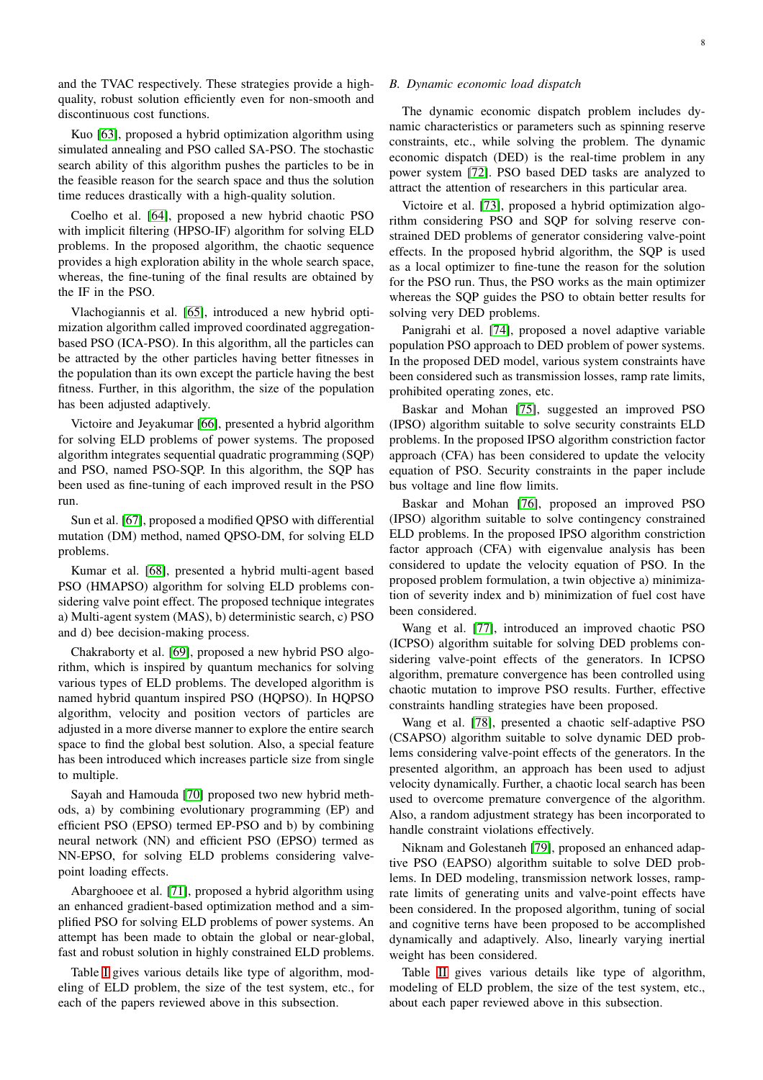and the TVAC respectively. These strategies provide a highquality, robust solution efficiently even for non-smooth and discontinuous cost functions.

Kuo [\[63\]](#page-13-18), proposed a hybrid optimization algorithm using simulated annealing and PSO called SA-PSO. The stochastic search ability of this algorithm pushes the particles to be in the feasible reason for the search space and thus the solution time reduces drastically with a high-quality solution.

Coelho et al. [\[64\]](#page-13-19), proposed a new hybrid chaotic PSO with implicit filtering (HPSO-IF) algorithm for solving ELD problems. In the proposed algorithm, the chaotic sequence provides a high exploration ability in the whole search space, whereas, the fine-tuning of the final results are obtained by the IF in the PSO.

Vlachogiannis et al. [\[65\]](#page-13-20), introduced a new hybrid optimization algorithm called improved coordinated aggregationbased PSO (ICA-PSO). In this algorithm, all the particles can be attracted by the other particles having better fitnesses in the population than its own except the particle having the best fitness. Further, in this algorithm, the size of the population has been adjusted adaptively.

Victoire and Jeyakumar [\[66\]](#page-13-21), presented a hybrid algorithm for solving ELD problems of power systems. The proposed algorithm integrates sequential quadratic programming (SQP) and PSO, named PSO-SQP. In this algorithm, the SQP has been used as fine-tuning of each improved result in the PSO run.

Sun et al. [\[67\]](#page-13-22), proposed a modified QPSO with differential mutation (DM) method, named QPSO-DM, for solving ELD problems.

Kumar et al. [\[68\]](#page-13-23), presented a hybrid multi-agent based PSO (HMAPSO) algorithm for solving ELD problems considering valve point effect. The proposed technique integrates a) Multi-agent system (MAS), b) deterministic search, c) PSO and d) bee decision-making process.

Chakraborty et al. [\[69\]](#page-13-24), proposed a new hybrid PSO algorithm, which is inspired by quantum mechanics for solving various types of ELD problems. The developed algorithm is named hybrid quantum inspired PSO (HOPSO). In HOPSO algorithm, velocity and position vectors of particles are adjusted in a more diverse manner to explore the entire search space to find the global best solution. Also, a special feature has been introduced which increases particle size from single to multiple.

Sayah and Hamouda [\[70\]](#page-13-25) proposed two new hybrid methods, a) by combining evolutionary programming (EP) and efficient PSO (EPSO) termed EP-PSO and b) by combining neural network (NN) and efficient PSO (EPSO) termed as NN-EPSO, for solving ELD problems considering valvepoint loading effects.

Abarghooee et al. [\[71\]](#page-13-26), proposed a hybrid algorithm using an enhanced gradient-based optimization method and a simplified PSO for solving ELD problems of power systems. An attempt has been made to obtain the global or near-global, fast and robust solution in highly constrained ELD problems.

Table [I](#page-8-0) gives various details like type of algorithm, modeling of ELD problem, the size of the test system, etc., for each of the papers reviewed above in this subsection.

## *B. Dynamic economic load dispatch*

The dynamic economic dispatch problem includes dynamic characteristics or parameters such as spinning reserve constraints, etc., while solving the problem. The dynamic economic dispatch (DED) is the real-time problem in any power system [\[72\]](#page-13-27). PSO based DED tasks are analyzed to attract the attention of researchers in this particular area.

Victoire et al. [\[73\]](#page-13-28), proposed a hybrid optimization algorithm considering PSO and SQP for solving reserve constrained DED problems of generator considering valve-point effects. In the proposed hybrid algorithm, the SQP is used as a local optimizer to fine-tune the reason for the solution for the PSO run. Thus, the PSO works as the main optimizer whereas the SQP guides the PSO to obtain better results for solving very DED problems.

Panigrahi et al. [\[74\]](#page-13-29), proposed a novel adaptive variable population PSO approach to DED problem of power systems. In the proposed DED model, various system constraints have been considered such as transmission losses, ramp rate limits, prohibited operating zones, etc.

Baskar and Mohan [\[75\]](#page-13-30), suggested an improved PSO (IPSO) algorithm suitable to solve security constraints ELD problems. In the proposed IPSO algorithm constriction factor approach (CFA) has been considered to update the velocity equation of PSO. Security constraints in the paper include bus voltage and line flow limits.

Baskar and Mohan [\[76\]](#page-13-31), proposed an improved PSO (IPSO) algorithm suitable to solve contingency constrained ELD problems. In the proposed IPSO algorithm constriction factor approach (CFA) with eigenvalue analysis has been considered to update the velocity equation of PSO. In the proposed problem formulation, a twin objective a) minimization of severity index and b) minimization of fuel cost have been considered.

Wang et al. [\[77\]](#page-13-32), introduced an improved chaotic PSO (ICPSO) algorithm suitable for solving DED problems considering valve-point effects of the generators. In ICPSO algorithm, premature convergence has been controlled using chaotic mutation to improve PSO results. Further, effective constraints handling strategies have been proposed.

Wang et al. [\[78\]](#page-13-33), presented a chaotic self-adaptive PSO (CSAPSO) algorithm suitable to solve dynamic DED problems considering valve-point effects of the generators. In the presented algorithm, an approach has been used to adjust velocity dynamically. Further, a chaotic local search has been used to overcome premature convergence of the algorithm. Also, a random adjustment strategy has been incorporated to handle constraint violations effectively.

Niknam and Golestaneh [\[79\]](#page-13-34), proposed an enhanced adaptive PSO (EAPSO) algorithm suitable to solve DED problems. In DED modeling, transmission network losses, ramprate limits of generating units and valve-point effects have been considered. In the proposed algorithm, tuning of social and cognitive terns have been proposed to be accomplished dynamically and adaptively. Also, linearly varying inertial weight has been considered.

Table [II](#page-8-1) gives various details like type of algorithm, modeling of ELD problem, the size of the test system, etc., about each paper reviewed above in this subsection.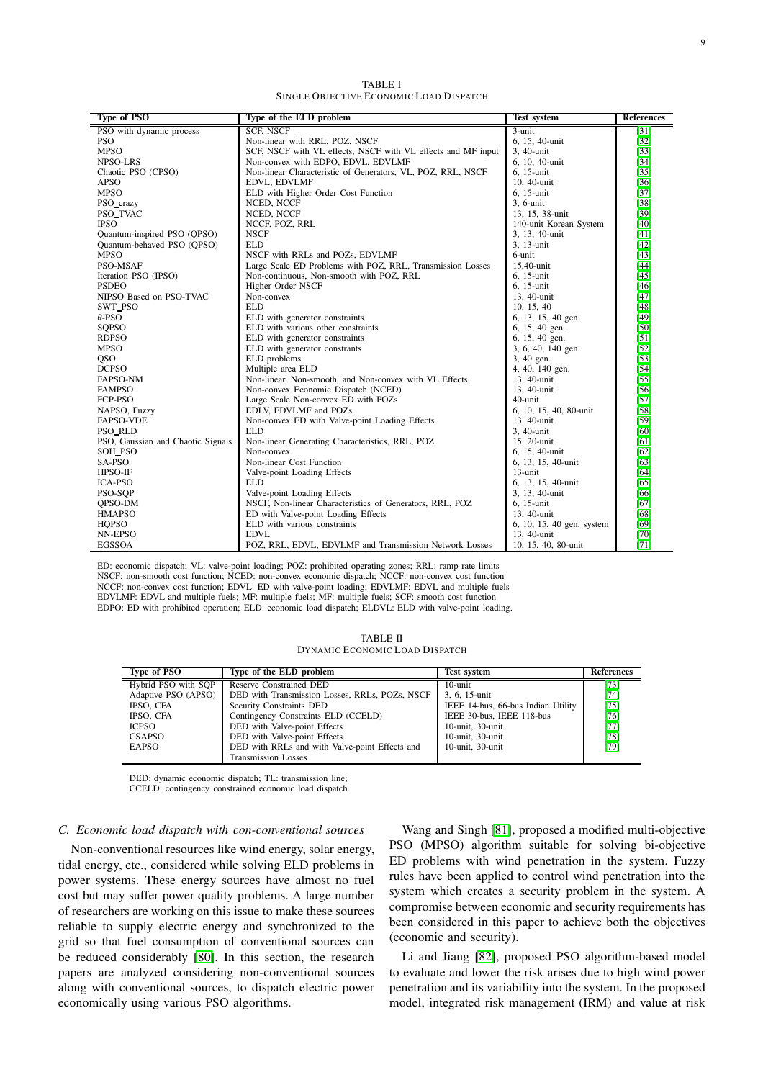TABLE I SINGLE OBJECTIVE ECONOMIC LOAD DISPATCH

<span id="page-8-0"></span>

| Type of PSO                       | Type of the ELD problem                                      | <b>Test system</b>        | <b>References</b> |
|-----------------------------------|--------------------------------------------------------------|---------------------------|-------------------|
| PSO with dynamic process          | <b>SCF, NSCF</b>                                             | 3-unit                    | $[31]$            |
| <b>PSO</b>                        | Non-linear with RRL, POZ, NSCF                               | 6, 15, 40-unit            | $[32]$            |
| <b>MPSO</b>                       | SCF, NSCF with VL effects, NSCF with VL effects and MF input | 3, 40-unit                | $[33]$            |
| <b>NPSO-LRS</b>                   | Non-convex with EDPO, EDVL, EDVLMF                           | 6, 10, 40-unit            | $[34]$            |
| Chaotic PSO (CPSO)                | Non-linear Characteristic of Generators, VL, POZ, RRL, NSCF  | 6. 15-unit                | $[35]$            |
| <b>APSO</b>                       | EDVL, EDVLMF                                                 | 10, 40-unit               | $[36]$            |
| <b>MPSO</b>                       | ELD with Higher Order Cost Function                          | 6, 15-unit                | $[37]$            |
| PSO_crazy                         | NCED, NCCF                                                   | 3. 6-unit                 | $[38]$            |
| PSO_TVAC                          | NCED, NCCF                                                   | 13, 15, 38-unit           | $[39]$            |
| <b>IPSO</b>                       | NCCF, POZ, RRL                                               | 140-unit Korean System    | [40]              |
| Quantum-inspired PSO (QPSO)       | <b>NSCF</b>                                                  | 3, 13, 40-unit            | [41]              |
| Quantum-behaved PSO (OPSO)        | <b>ELD</b>                                                   | 3, 13-unit                | [42]              |
| <b>MPSO</b>                       | NSCF with RRLs and POZs, EDVLMF                              | 6-unit                    | $[43]$            |
| PSO-MSAF                          | Large Scale ED Problems with POZ, RRL, Transmission Losses   | 15,40-unit                | $[44]$            |
| Iteration PSO (IPSO)              | Non-continuous, Non-smooth with POZ, RRL                     | 6, 15-unit                | [45]              |
| <b>PSDEO</b>                      | Higher Order NSCF                                            | 6. 15-unit                | [46]              |
| NIPSO Based on PSO-TVAC           | Non-convex                                                   | 13, 40-unit               | $[47]$            |
| SWT_PSO                           | <b>ELD</b>                                                   | 10, 15, 40                | [48]              |
| $\theta$ -PSO                     | ELD with generator constraints                               | 6, 13, 15, 40 gen.        | [49]              |
| <b>SOPSO</b>                      | ELD with various other constraints                           | 6, 15, 40 gen.            | [50]              |
| <b>RDPSO</b>                      | ELD with generator constraints                               | 6, 15, 40 gen.            | $[51]$            |
| <b>MPSO</b>                       | ELD with generator constrants                                | 3, 6, 40, 140 gen.        | $[52]$            |
| <b>QSO</b>                        | ELD problems                                                 | 3, 40 gen.                | $[53]$            |
| <b>DCPSO</b>                      | Multiple area ELD                                            | 4, 40, 140 gen.           | [54]              |
| FAPSO-NM                          | Non-linear, Non-smooth, and Non-convex with VL Effects       | 13, 40-unit               | [55]              |
| <b>FAMPSO</b>                     | Non-convex Economic Dispatch (NCED)                          | 13, 40-unit               | $[56]$            |
| FCP-PSO                           | Large Scale Non-convex ED with POZs                          | 40-unit                   | $[57]$            |
| NAPSO, Fuzzy                      | EDLV, EDVLMF and POZs                                        | 6, 10, 15, 40, 80-unit    | $[58]$            |
| <b>FAPSO-VDE</b>                  | Non-convex ED with Valve-point Loading Effects               | 13, 40-unit               | [59]              |
| PSO_RLD                           | <b>ELD</b>                                                   | 3, 40-unit                | [60]              |
| PSO, Gaussian and Chaotic Signals | Non-linear Generating Characteristics, RRL, POZ              | 15, 20-unit               | [61]              |
| <b>SOH_PSO</b>                    | Non-convex                                                   | 6, 15, 40-unit            | [62]              |
| SA-PSO                            | Non-linear Cost Function                                     | 6, 13, 15, 40-unit        | [63]              |
| HPSO-IF                           | Valve-point Loading Effects                                  | 13-unit                   | [64]              |
| <b>ICA-PSO</b>                    | <b>ELD</b>                                                   | 6, 13, 15, 40-unit        | [65]              |
| PSO-SOP                           | Valve-point Loading Effects                                  | 3, 13, 40-unit            | [66]              |
| <b>OPSO-DM</b>                    | NSCF, Non-linear Characteristics of Generators, RRL, POZ     | 6. 15-unit                | [67]              |
| <b>HMAPSO</b>                     | ED with Valve-point Loading Effects                          | 13, 40-unit               | [68]              |
| <b>HOPSO</b>                      | ELD with various constraints                                 | 6, 10, 15, 40 gen. system | [69]              |
| NN-EPSO                           | <b>EDVL</b>                                                  | 13, 40-unit               | $[70]$            |
| <b>EGSSOA</b>                     | POZ, RRL, EDVL, EDVLMF and Transmission Network Losses       | 10, 15, 40, 80-unit       | [71]              |

ED: economic dispatch; VL: valve-point loading; POZ: prohibited operating zones; RRL: ramp rate limits NSCF: non-smooth cost function; NCED: non-convex economic dispatch; NCCF: non-convex cost function NCCF: non-convex cost function; EDVL: ED with valve-point loading; EDVLMF: EDVL and multiple fuels EDVLMF: EDVL and multiple fuels; MF: multiple fuels; MF: multiple fuels; SCF: smooth cost function EDPO: ED with prohibited operation; ELD: economic load dispatch; ELDVL: ELD with valve-point loading.

| <b>TABLE II</b>                |
|--------------------------------|
| DYNAMIC ECONOMIC LOAD DISPATCH |

<span id="page-8-1"></span>

| <b>Type of PSO</b>  | Type of the ELD problem                        | <b>Test system</b>                 | References |
|---------------------|------------------------------------------------|------------------------------------|------------|
| Hybrid PSO with SOP | Reserve Constrained DED                        | 10-unit                            | [73]       |
| Adaptive PSO (APSO) | DED with Transmission Losses, RRLs, POZs, NSCF | 3, 6, 15-unit                      | [74]       |
| IPSO, CFA           | Security Constraints DED                       | IEEE 14-bus, 66-bus Indian Utility | [75]       |
| IPSO, CFA           | Contingency Constraints ELD (CCELD)            | IEEE 30-bus, IEEE 118-bus          | [76]       |
| <b>ICPSO</b>        | DED with Valve-point Effects                   | 10-unit, 30-unit                   | $[77]$     |
| <b>CSAPSO</b>       | DED with Valve-point Effects                   | 10-unit, 30-unit                   | [78]       |
| <b>EAPSO</b>        | DED with RRLs and with Valve-point Effects and | 10-unit, 30-unit                   | [79]       |
|                     | <b>Transmission Losses</b>                     |                                    |            |

DED: dynamic economic dispatch; TL: transmission line;

CCELD: contingency constrained economic load dispatch.

## *C. Economic load dispatch with con-conventional sources*

Non-conventional resources like wind energy, solar energy, tidal energy, etc., considered while solving ELD problems in power systems. These energy sources have almost no fuel cost but may suffer power quality problems. A large number of researchers are working on this issue to make these sources reliable to supply electric energy and synchronized to the grid so that fuel consumption of conventional sources can be reduced considerably [\[80\]](#page-13-35). In this section, the research papers are analyzed considering non-conventional sources along with conventional sources, to dispatch electric power economically using various PSO algorithms.

Wang and Singh [\[81\]](#page-13-36), proposed a modified multi-objective PSO (MPSO) algorithm suitable for solving bi-objective ED problems with wind penetration in the system. Fuzzy rules have been applied to control wind penetration into the system which creates a security problem in the system. A compromise between economic and security requirements has been considered in this paper to achieve both the objectives (economic and security).

Li and Jiang [\[82\]](#page-13-37), proposed PSO algorithm-based model to evaluate and lower the risk arises due to high wind power penetration and its variability into the system. In the proposed model, integrated risk management (IRM) and value at risk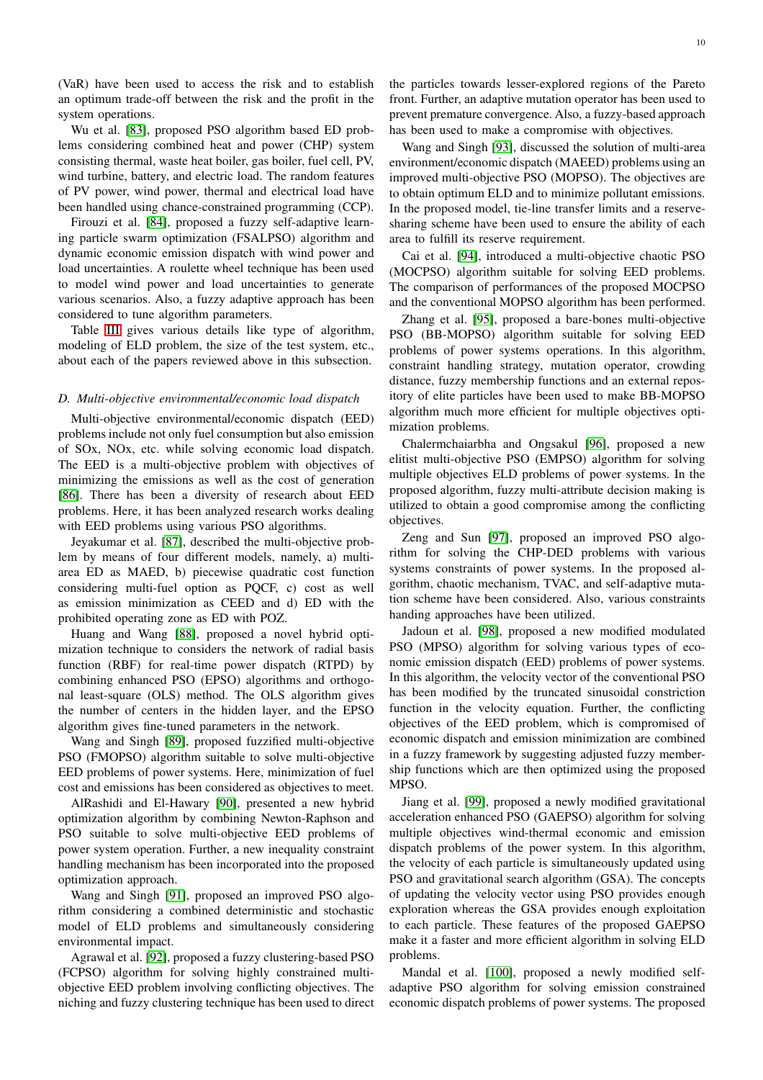(VaR) have been used to access the risk and to establish an optimum trade-off between the risk and the profit in the system operations.

Wu et al. [\[83\]](#page-13-38), proposed PSO algorithm based ED problems considering combined heat and power (CHP) system consisting thermal, waste heat boiler, gas boiler, fuel cell, PV, wind turbine, battery, and electric load. The random features of PV power, wind power, thermal and electrical load have been handled using chance-constrained programming (CCP).

Firouzi et al. [\[84\]](#page-13-39), proposed a fuzzy self-adaptive learning particle swarm optimization (FSALPSO) algorithm and dynamic economic emission dispatch with wind power and load uncertainties. A roulette wheel technique has been used to model wind power and load uncertainties to generate various scenarios. Also, a fuzzy adaptive approach has been considered to tune algorithm parameters.

Table [III](#page-10-0) gives various details like type of algorithm, modeling of ELD problem, the size of the test system, etc., about each of the papers reviewed above in this subsection.

## *D. Multi-objective environmental/economic load dispatch*

Multi-objective environmental/economic dispatch (EED) problems include not only fuel consumption but also emission of SOx, NOx, etc. while solving economic load dispatch. The EED is a multi-objective problem with objectives of minimizing the emissions as well as the cost of generation [\[86\]](#page-13-40). There has been a diversity of research about EED problems. Here, it has been analyzed research works dealing with EED problems using various PSO algorithms.

Jeyakumar et al. [\[87\]](#page-14-0), described the multi-objective problem by means of four different models, namely, a) multiarea ED as MAED, b) piecewise quadratic cost function considering multi-fuel option as PQCF, c) cost as well as emission minimization as CEED and d) ED with the prohibited operating zone as ED with POZ.

Huang and Wang [\[88\]](#page-14-1), proposed a novel hybrid optimization technique to considers the network of radial basis function (RBF) for real-time power dispatch (RTPD) by combining enhanced PSO (EPSO) algorithms and orthogonal least-square (OLS) method. The OLS algorithm gives the number of centers in the hidden layer, and the EPSO algorithm gives fine-tuned parameters in the network.

Wang and Singh [\[89\]](#page-14-2), proposed fuzzified multi-objective PSO (FMOPSO) algorithm suitable to solve multi-objective EED problems of power systems. Here, minimization of fuel cost and emissions has been considered as objectives to meet.

AlRashidi and El-Hawary [\[90\]](#page-14-3), presented a new hybrid optimization algorithm by combining Newton-Raphson and PSO suitable to solve multi-objective EED problems of power system operation. Further, a new inequality constraint handling mechanism has been incorporated into the proposed optimization approach.

Wang and Singh [\[91\]](#page-14-4), proposed an improved PSO algorithm considering a combined deterministic and stochastic model of ELD problems and simultaneously considering environmental impact.

Agrawal et al. [\[92\]](#page-14-5), proposed a fuzzy clustering-based PSO (FCPSO) algorithm for solving highly constrained multiobjective EED problem involving conflicting objectives. The niching and fuzzy clustering technique has been used to direct

the particles towards lesser-explored regions of the Pareto front. Further, an adaptive mutation operator has been used to prevent premature convergence. Also, a fuzzy-based approach has been used to make a compromise with objectives.

Wang and Singh [\[93\]](#page-14-6), discussed the solution of multi-area environment/economic dispatch (MAEED) problems using an improved multi-objective PSO (MOPSO). The objectives are to obtain optimum ELD and to minimize pollutant emissions. In the proposed model, tie-line transfer limits and a reservesharing scheme have been used to ensure the ability of each area to fulfill its reserve requirement.

Cai et al. [\[94\]](#page-14-7), introduced a multi-objective chaotic PSO (MOCPSO) algorithm suitable for solving EED problems. The comparison of performances of the proposed MOCPSO and the conventional MOPSO algorithm has been performed.

Zhang et al. [\[95\]](#page-14-8), proposed a bare-bones multi-objective PSO (BB-MOPSO) algorithm suitable for solving EED problems of power systems operations. In this algorithm, constraint handling strategy, mutation operator, crowding distance, fuzzy membership functions and an external repository of elite particles have been used to make BB-MOPSO algorithm much more efficient for multiple objectives optimization problems.

Chalermchaiarbha and Ongsakul [\[96\]](#page-14-9), proposed a new elitist multi-objective PSO (EMPSO) algorithm for solving multiple objectives ELD problems of power systems. In the proposed algorithm, fuzzy multi-attribute decision making is utilized to obtain a good compromise among the conflicting objectives.

Zeng and Sun [\[97\]](#page-14-10), proposed an improved PSO algorithm for solving the CHP-DED problems with various systems constraints of power systems. In the proposed algorithm, chaotic mechanism, TVAC, and self-adaptive mutation scheme have been considered. Also, various constraints handing approaches have been utilized.

Jadoun et al. [\[98\]](#page-14-11), proposed a new modified modulated PSO (MPSO) algorithm for solving various types of economic emission dispatch (EED) problems of power systems. In this algorithm, the velocity vector of the conventional PSO has been modified by the truncated sinusoidal constriction function in the velocity equation. Further, the conflicting objectives of the EED problem, which is compromised of economic dispatch and emission minimization are combined in a fuzzy framework by suggesting adjusted fuzzy membership functions which are then optimized using the proposed MPSO.

Jiang et al. [\[99\]](#page-14-12), proposed a newly modified gravitational acceleration enhanced PSO (GAEPSO) algorithm for solving multiple objectives wind-thermal economic and emission dispatch problems of the power system. In this algorithm, the velocity of each particle is simultaneously updated using PSO and gravitational search algorithm (GSA). The concepts of updating the velocity vector using PSO provides enough exploration whereas the GSA provides enough exploitation to each particle. These features of the proposed GAEPSO make it a faster and more efficient algorithm in solving ELD problems.

Mandal et al. [\[100\]](#page-14-13), proposed a newly modified selfadaptive PSO algorithm for solving emission constrained economic dispatch problems of power systems. The proposed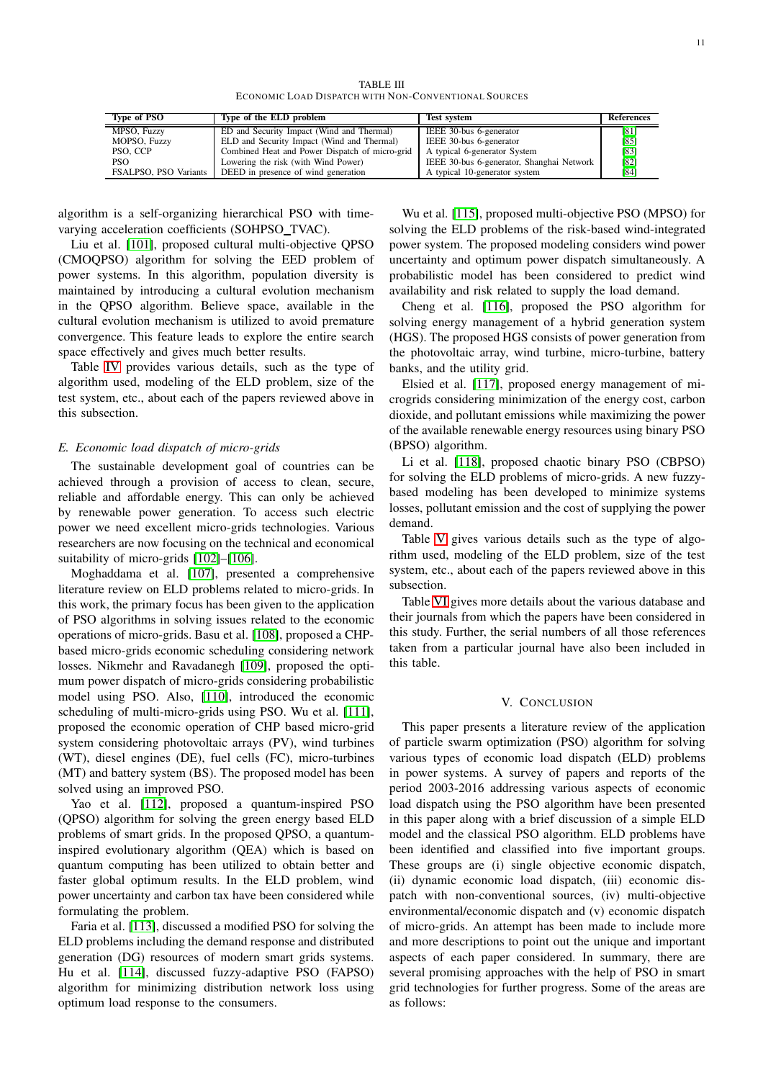TABLE III ECONOMIC LOAD DISPATCH WITH NON-CONVENTIONAL SOURCES

<span id="page-10-0"></span>

| Type of PSO           | Type of the ELD problem                        | <b>Test system</b>                        | References |
|-----------------------|------------------------------------------------|-------------------------------------------|------------|
| MPSO, Fuzzy           | ED and Security Impact (Wind and Thermal)      | IEEE 30-bus 6-generator                   | [81]       |
| MOPSO, Fuzzy          | ELD and Security Impact (Wind and Thermal)     | IEEE 30-bus 6-generator                   | [85]       |
| PSO, CCP              | Combined Heat and Power Dispatch of micro-grid | A typical 6-generator System              | [83]       |
| PSO.                  | Lowering the risk (with Wind Power)            | IEEE 30-bus 6-generator, Shanghai Network | [82]       |
| FSALPSO, PSO Variants | DEED in presence of wind generation            | A typical 10-generator system             | [84]       |

algorithm is a self-organizing hierarchical PSO with timevarying acceleration coefficients (SOHPSO\_TVAC).

Liu et al. [\[101\]](#page-14-14), proposed cultural multi-objective QPSO (CMOQPSO) algorithm for solving the EED problem of power systems. In this algorithm, population diversity is maintained by introducing a cultural evolution mechanism in the QPSO algorithm. Believe space, available in the cultural evolution mechanism is utilized to avoid premature convergence. This feature leads to explore the entire search space effectively and gives much better results.

Table [IV](#page-11-0) provides various details, such as the type of algorithm used, modeling of the ELD problem, size of the test system, etc., about each of the papers reviewed above in this subsection.

## *E. Economic load dispatch of micro-grids*

The sustainable development goal of countries can be achieved through a provision of access to clean, secure, reliable and affordable energy. This can only be achieved by renewable power generation. To access such electric power we need excellent micro-grids technologies. Various researchers are now focusing on the technical and economical suitability of micro-grids [\[102\]](#page-14-15)–[\[106\]](#page-14-16).

Moghaddama et al. [\[107\]](#page-14-17), presented a comprehensive literature review on ELD problems related to micro-grids. In this work, the primary focus has been given to the application of PSO algorithms in solving issues related to the economic operations of micro-grids. Basu et al. [\[108\]](#page-14-18), proposed a CHPbased micro-grids economic scheduling considering network losses. Nikmehr and Ravadanegh [\[109\]](#page-14-19), proposed the optimum power dispatch of micro-grids considering probabilistic model using PSO. Also, [\[110\]](#page-14-20), introduced the economic scheduling of multi-micro-grids using PSO. Wu et al. [\[111\]](#page-14-21), proposed the economic operation of CHP based micro-grid system considering photovoltaic arrays (PV), wind turbines (WT), diesel engines (DE), fuel cells (FC), micro-turbines (MT) and battery system (BS). The proposed model has been solved using an improved PSO.

Yao et al. [\[112\]](#page-14-22), proposed a quantum-inspired PSO (QPSO) algorithm for solving the green energy based ELD problems of smart grids. In the proposed QPSO, a quantuminspired evolutionary algorithm (QEA) which is based on quantum computing has been utilized to obtain better and faster global optimum results. In the ELD problem, wind power uncertainty and carbon tax have been considered while formulating the problem.

Faria et al. [\[113\]](#page-14-23), discussed a modified PSO for solving the ELD problems including the demand response and distributed generation (DG) resources of modern smart grids systems. Hu et al. [\[114\]](#page-14-24), discussed fuzzy-adaptive PSO (FAPSO) algorithm for minimizing distribution network loss using optimum load response to the consumers.

Wu et al. [\[115\]](#page-14-25), proposed multi-objective PSO (MPSO) for solving the ELD problems of the risk-based wind-integrated power system. The proposed modeling considers wind power uncertainty and optimum power dispatch simultaneously. A probabilistic model has been considered to predict wind availability and risk related to supply the load demand.

Cheng et al. [\[116\]](#page-14-26), proposed the PSO algorithm for solving energy management of a hybrid generation system (HGS). The proposed HGS consists of power generation from the photovoltaic array, wind turbine, micro-turbine, battery banks, and the utility grid.

Elsied et al. [\[117\]](#page-14-27), proposed energy management of microgrids considering minimization of the energy cost, carbon dioxide, and pollutant emissions while maximizing the power of the available renewable energy resources using binary PSO (BPSO) algorithm.

Li et al. [\[118\]](#page-14-28), proposed chaotic binary PSO (CBPSO) for solving the ELD problems of micro-grids. A new fuzzybased modeling has been developed to minimize systems losses, pollutant emission and the cost of supplying the power demand.

Table [V](#page-11-1) gives various details such as the type of algorithm used, modeling of the ELD problem, size of the test system, etc., about each of the papers reviewed above in this subsection.

Table [VI](#page-11-2) gives more details about the various database and their journals from which the papers have been considered in this study. Further, the serial numbers of all those references taken from a particular journal have also been included in this table.

## V. CONCLUSION

This paper presents a literature review of the application of particle swarm optimization (PSO) algorithm for solving various types of economic load dispatch (ELD) problems in power systems. A survey of papers and reports of the period 2003-2016 addressing various aspects of economic load dispatch using the PSO algorithm have been presented in this paper along with a brief discussion of a simple ELD model and the classical PSO algorithm. ELD problems have been identified and classified into five important groups. These groups are (i) single objective economic dispatch, (ii) dynamic economic load dispatch, (iii) economic dispatch with non-conventional sources, (iv) multi-objective environmental/economic dispatch and (v) economic dispatch of micro-grids. An attempt has been made to include more and more descriptions to point out the unique and important aspects of each paper considered. In summary, there are several promising approaches with the help of PSO in smart grid technologies for further progress. Some of the areas are as follows: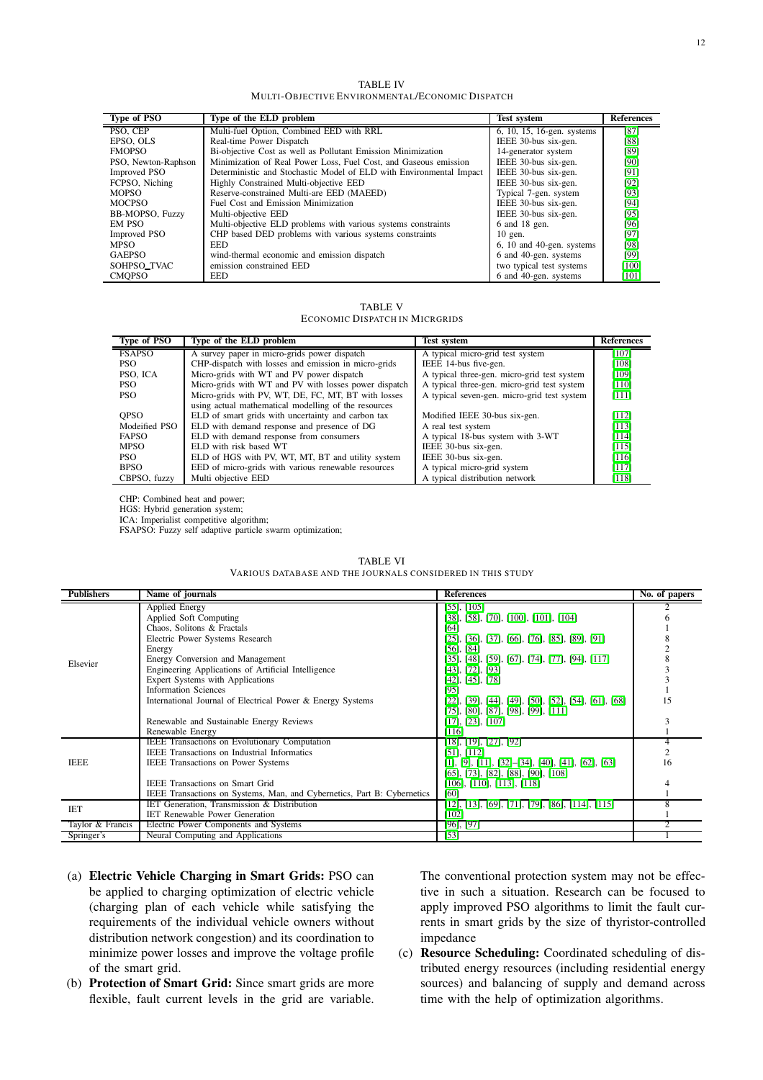TABLE IV MULTI-OBJECTIVE ENVIRONMENTAL/ECONOMIC DISPATCH

<span id="page-11-0"></span>

| <b>Type of PSO</b>  | Type of the ELD problem                                             | <b>Test system</b>            | <b>References</b> |
|---------------------|---------------------------------------------------------------------|-------------------------------|-------------------|
| PSO, CEP            | Multi-fuel Option, Combined EED with RRL                            | $6, 10, 15, 16$ -gen. systems | [87]              |
| EPSO, OLS           | Real-time Power Dispatch                                            | IEEE 30-bus six-gen.          | [88]              |
| <b>FMOPSO</b>       | Bi-objective Cost as well as Pollutant Emission Minimization        | 14-generator system           | [89]              |
| PSO, Newton-Raphson | Minimization of Real Power Loss, Fuel Cost, and Gaseous emission    | IEEE 30-bus six-gen.          | [90]              |
| <b>Improved PSO</b> | Deterministic and Stochastic Model of ELD with Environmental Impact | IEEE 30-bus six-gen.          | [91]              |
| FCPSO, Niching      | Highly Constrained Multi-objective EED                              | IEEE 30-bus six-gen.          | [92]              |
| <b>MOPSO</b>        | Reserve-constrained Multi-are EED (MAEED)                           | Typical 7-gen. system         | [93]              |
| <b>MOCPSO</b>       | Fuel Cost and Emission Minimization                                 | IEEE 30-bus six-gen.          | [94]              |
| BB-MOPSO, Fuzzy     | Multi-objective EED                                                 | IEEE 30-bus six-gen.          | [95]              |
| EM PSO              | Multi-objective ELD problems with various systems constraints       | 6 and 18 gen.                 | [96]              |
| <b>Improved PSO</b> | CHP based DED problems with various systems constraints             | $10$ gen.                     | [97]              |
| <b>MPSO</b>         | EED.                                                                | 6, 10 and 40-gen. systems     | [98]              |
| <b>GAEPSO</b>       | wind-thermal economic and emission dispatch                         | 6 and 40-gen. systems         | [99]              |
| SOHPSO_TVAC         | emission constrained EED                                            | two typical test systems      | $[100]$           |
| <b>CMOPSO</b>       | <b>EED</b>                                                          | 6 and 40-gen. systems         | [101]             |

TABLE V ECONOMIC DISPATCH IN MICRGRIDS

<span id="page-11-1"></span>

| Type of PSO   | Type of the ELD problem                               | <b>Test system</b>                          | <b>References</b> |
|---------------|-------------------------------------------------------|---------------------------------------------|-------------------|
| <b>FSAPSO</b> | A survey paper in micro-grids power dispatch          | A typical micro-grid test system            | [107]             |
| PSO.          | CHP-dispatch with losses and emission in micro-grids  | IEEE 14-bus five-gen.                       | $[108]$           |
| PSO, ICA      | Micro-grids with WT and PV power dispatch             | A typical three-gen, micro-grid test system | [109]             |
| PSO.          | Micro-grids with WT and PV with losses power dispatch | A typical three-gen. micro-grid test system | $[110]$           |
| PSO.          | Micro-grids with PV, WT, DE, FC, MT, BT with losses   | A typical seven-gen, micro-grid test system | [111]             |
|               | using actual mathematical modelling of the resources  |                                             |                   |
| <b>OPSO</b>   | ELD of smart grids with uncertainty and carbon tax    | Modified IEEE 30-bus six-gen.               | [112]             |
| Modeified PSO | ELD with demand response and presence of DG           | A real test system                          | [113]             |
| <b>FAPSO</b>  | ELD with demand response from consumers               | A typical 18-bus system with 3-WT           | [114]             |
| <b>MPSO</b>   | ELD with risk based WT                                | IEEE 30-bus six-gen.                        | [115]             |
| PSO.          | ELD of HGS with PV, WT, MT, BT and utility system     | IEEE 30-bus six-gen.                        | [116]             |
| <b>BPSO</b>   | EED of micro-grids with various renewable resources   | A typical micro-grid system                 | [117]             |
| CBPSO, fuzzy  | Multi objective EED                                   | A typical distribution network              | [118]             |

CHP: Combined heat and power;

HGS: Hybrid generation system;

ICA: Imperialist competitive algorithm;

FSAPSO: Fuzzy self adaptive particle swarm optimization;

<span id="page-11-2"></span>

| <b>Publishers</b> | Name of journals                                                        | <b>References</b>                                       | No. of papers  |
|-------------------|-------------------------------------------------------------------------|---------------------------------------------------------|----------------|
|                   | Applied Energy                                                          | $[55]$ , $[105]$                                        |                |
|                   | Applied Soft Computing                                                  | $[38]$ , [58], [70], [100], [101], [104]                |                |
|                   | Chaos, Solitons & Fractals                                              | [64]                                                    |                |
|                   | Electric Power Systems Research                                         | $[25]$ , [36], [37], [66], [76], [85], [89], [91]       |                |
|                   | Energy                                                                  | $[56]$ , $[84]$                                         |                |
| Elsevier          | Energy Conversion and Management                                        | $[35]$ , [48], [59], [67], [74], [77], [94], [117]      |                |
|                   | Engineering Applications of Artificial Intelligence                     | $[43]$ , [72], [93]                                     |                |
|                   | Expert Systems with Applications                                        | $[42]$ , $[45]$ , $[78]$                                |                |
|                   | <b>Information Sciences</b>                                             | [95]                                                    |                |
|                   | International Journal of Electrical Power & Energy Systems              | $[22]$ , [39], [44], [49], [50], [52], [54], [61], [68] | 15             |
|                   |                                                                         | $[75]$ , [80], [87], [98], [99], [111]                  |                |
|                   | Renewable and Sustainable Energy Reviews                                | $[17]$ , $[23]$ , $[107]$                               |                |
|                   | Renewable Energy                                                        | [116]                                                   |                |
|                   | <b>IEEE</b> Transactions on Evolutionary Computation                    | $[18]$ , [19], [27], [92]                               |                |
|                   | <b>IEEE</b> Transactions on Industrial Informatics                      | $[51]$ , $[112]$                                        | $\overline{c}$ |
| <b>IEEE</b>       | <b>IEEE</b> Transactions on Power Systems                               | $[1], [9], [11], [32]–[34], [40], [41], [62], [63]$     | 16             |
|                   |                                                                         | $[65]$ , [73], [82], [88], [90], [108]                  |                |
|                   | <b>IEEE</b> Transactions on Smart Grid                                  | $[106]$ , $[110]$ , $[113]$ , $[118]$                   |                |
|                   | IEEE Transactions on Systems, Man, and Cybernetics, Part B: Cybernetics | [60]                                                    |                |
| <b>IET</b>        | IET Generation, Transmission & Distribution                             | $[12]$ , [13], [69], [71], [79], [86], [114], [115]     |                |
|                   | <b>IET Renewable Power Generation</b>                                   | [102]                                                   |                |
| Taylor & Francis  | Electric Power Components and Systems                                   | $[96]$ , $[97]$                                         |                |
| Springer's        | Neural Computing and Applications                                       | [53]                                                    |                |

|                                                            | TABLE VI |  |
|------------------------------------------------------------|----------|--|
| VARIOUS DATABASE AND THE JOURNALS CONSIDERED IN THIS STUDY |          |  |

- (a) Electric Vehicle Charging in Smart Grids: PSO can be applied to charging optimization of electric vehicle (charging plan of each vehicle while satisfying the requirements of the individual vehicle owners without distribution network congestion) and its coordination to minimize power losses and improve the voltage profile of the smart grid.
- (b) Protection of Smart Grid: Since smart grids are more flexible, fault current levels in the grid are variable.

The conventional protection system may not be effective in such a situation. Research can be focused to apply improved PSO algorithms to limit the fault currents in smart grids by the size of thyristor-controlled impedance

(c) Resource Scheduling: Coordinated scheduling of distributed energy resources (including residential energy sources) and balancing of supply and demand across time with the help of optimization algorithms.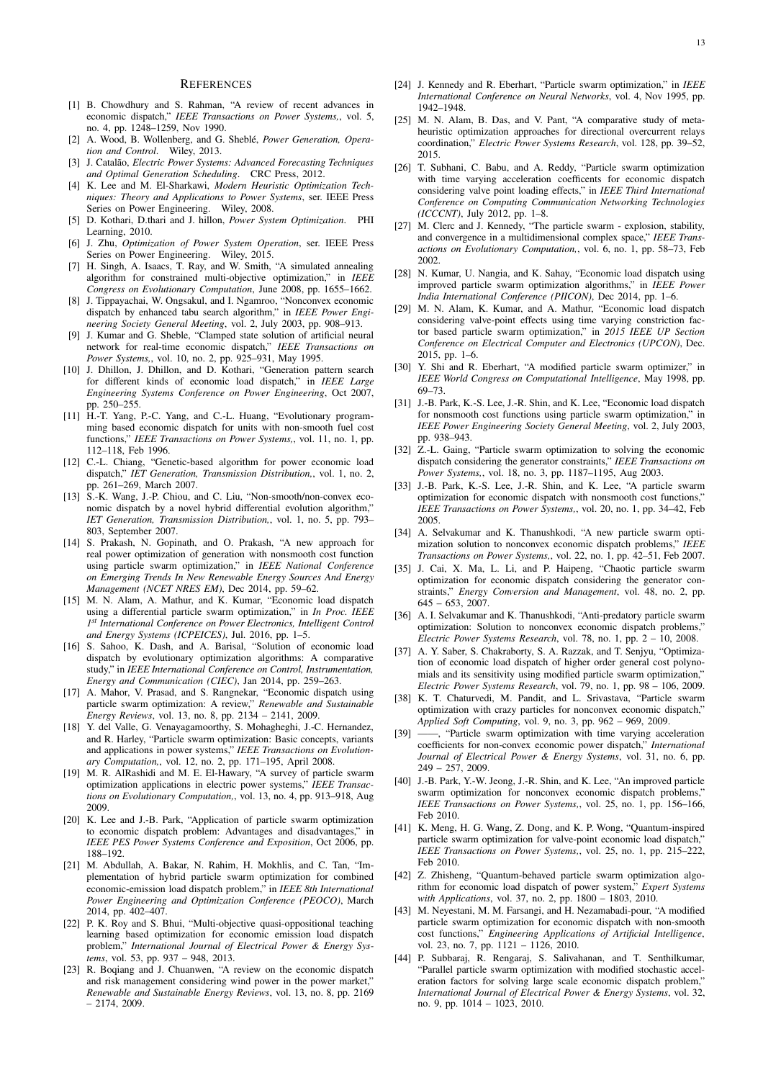#### **REFERENCES**

- <span id="page-12-0"></span>[1] B. Chowdhury and S. Rahman, "A review of recent advances in economic dispatch," *IEEE Transactions on Power Systems,*, vol. 5, no. 4, pp. 1248–1259, Nov 1990.
- <span id="page-12-1"></span>[2] A. Wood, B. Wollenberg, and G. Sheblé, *Power Generation, Operation and Control*. Wiley, 2013.
- [3] J. Catal˜ao, *Electric Power Systems: Advanced Forecasting Techniques and Optimal Generation Scheduling*. CRC Press, 2012.
- [4] K. Lee and M. El-Sharkawi, *Modern Heuristic Optimization Techniques: Theory and Applications to Power Systems*, ser. IEEE Press Series on Power Engineering. Wiley, 2008.
- <span id="page-12-3"></span>[5] D. Kothari, D.thari and J. hillon, *Power System Optimization*. PHI Learning, 2010.
- <span id="page-12-2"></span>[6] J. Zhu, *Optimization of Power System Operation*, ser. IEEE Press Series on Power Engineering. Wiley, 2015.
- <span id="page-12-4"></span>[7] H. Singh, A. Isaacs, T. Ray, and W. Smith, "A simulated annealing algorithm for constrained multi-objective optimization," in *IEEE Congress on Evolutionary Computation*, June 2008, pp. 1655–1662.
- <span id="page-12-5"></span>[8] J. Tippayachai, W. Ongsakul, and I. Ngamroo, "Nonconvex economic dispatch by enhanced tabu search algorithm," in *IEEE Power Engineering Society General Meeting*, vol. 2, July 2003, pp. 908–913.
- <span id="page-12-6"></span>[9] J. Kumar and G. Sheble, "Clamped state solution of artificial neural network for real-time economic dispatch," *IEEE Transactions on Power Systems,*, vol. 10, no. 2, pp. 925–931, May 1995.
- <span id="page-12-7"></span>[10] J. Dhillon, J. Dhillon, and D. Kothari, "Generation pattern search for different kinds of economic load dispatch," in *IEEE Large Engineering Systems Conference on Power Engineering*, Oct 2007, pp. 250–255.
- <span id="page-12-8"></span>[11] H.-T. Yang, P.-C. Yang, and C.-L. Huang, "Evolutionary programming based economic dispatch for units with non-smooth fuel cost functions," *IEEE Transactions on Power Systems,*, vol. 11, no. 1, pp. 112–118, Feb 1996.
- <span id="page-12-9"></span>[12] C.-L. Chiang, "Genetic-based algorithm for power economic load dispatch," *IET Generation, Transmission Distribution,*, vol. 1, no. 2, pp. 261–269, March 2007.
- <span id="page-12-10"></span>[13] S.-K. Wang, J.-P. Chiou, and C. Liu, "Non-smooth/non-convex economic dispatch by a novel hybrid differential evolution algorithm," *IET Generation, Transmission Distribution,*, vol. 1, no. 5, pp. 793– 803, September 2007.
- <span id="page-12-11"></span>[14] S. Prakash, N. Gopinath, and O. Prakash, "A new approach for real power optimization of generation with nonsmooth cost function using particle swarm optimization," in *IEEE National Conference on Emerging Trends In New Renewable Energy Sources And Energy Management (NCET NRES EM)*, Dec 2014, pp. 59–62.
- <span id="page-12-12"></span>[15] M. N. Alam, A. Mathur, and K. Kumar, "Economic load dispatch using a differential particle swarm optimization," in *In Proc. IEEE 1 st International Conference on Power Electronics, Intelligent Control and Energy Systems (ICPEICES)*, Jul. 2016, pp. 1–5.
- <span id="page-12-13"></span>[16] S. Sahoo, K. Dash, and A. Barisal, "Solution of economic load dispatch by evolutionary optimization algorithms: A comparative study," in *IEEE International Conference on Control, Instrumentation, Energy and Communication (CIEC)*, Jan 2014, pp. 259–263.
- <span id="page-12-14"></span>[17] A. Mahor, V. Prasad, and S. Rangnekar, "Economic dispatch using particle swarm optimization: A review," *Renewable and Sustainable Energy Reviews*, vol. 13, no. 8, pp. 2134 – 2141, 2009.
- <span id="page-12-15"></span>[18] Y. del Valle, G. Venayagamoorthy, S. Mohagheghi, J.-C. Hernandez, and R. Harley, "Particle swarm optimization: Basic concepts, variants and applications in power systems," *IEEE Transactions on Evolutionary Computation,*, vol. 12, no. 2, pp. 171–195, April 2008.
- <span id="page-12-16"></span>[19] M. R. AlRashidi and M. E. El-Hawary, "A survey of particle swarm optimization applications in electric power systems," *IEEE Transactions on Evolutionary Computation,*, vol. 13, no. 4, pp. 913–918, Aug 2009.
- <span id="page-12-17"></span>[20] K. Lee and J.-B. Park, "Application of particle swarm optimization to economic dispatch problem: Advantages and disadvantages," in *IEEE PES Power Systems Conference and Exposition*, Oct 2006, pp. 188–192.
- <span id="page-12-18"></span>[21] M. Abdullah, A. Bakar, N. Rahim, H. Mokhlis, and C. Tan, "Implementation of hybrid particle swarm optimization for combined economic-emission load dispatch problem," in *IEEE 8th International Power Engineering and Optimization Conference (PEOCO)*, March 2014, pp. 402–407.
- <span id="page-12-19"></span>[22] P. K. Roy and S. Bhui, "Multi-objective quasi-oppositional teaching learning based optimization for economic emission load dispatch problem," *International Journal of Electrical Power & Energy Systems*, vol. 53, pp. 937 – 948, 2013.
- <span id="page-12-20"></span>[23] R. Bogiang and J. Chuanwen, "A review on the economic dispatch and risk management considering wind power in the power market," *Renewable and Sustainable Energy Reviews*, vol. 13, no. 8, pp. 2169 – 2174, 2009.
- <span id="page-12-21"></span>[24] J. Kennedy and R. Eberhart, "Particle swarm optimization," in *IEEE International Conference on Neural Networks*, vol. 4, Nov 1995, pp. 1942–1948.
- <span id="page-12-22"></span>[25] M. N. Alam, B. Das, and V. Pant, "A comparative study of metaheuristic optimization approaches for directional overcurrent relays coordination," *Electric Power Systems Research*, vol. 128, pp. 39–52, 2015.
- <span id="page-12-23"></span>[26] T. Subhani, C. Babu, and A. Reddy, "Particle swarm optimization with time varying acceleration coefficents for economic dispatch considering valve point loading effects," in *IEEE Third International Conference on Computing Communication Networking Technologies (ICCCNT)*, July 2012, pp. 1–8.
- <span id="page-12-24"></span>[27] M. Clerc and J. Kennedy, "The particle swarm - explosion, stability, and convergence in a multidimensional complex space," *IEEE Transactions on Evolutionary Computation,*, vol. 6, no. 1, pp. 58–73, Feb 2002.
- <span id="page-12-25"></span>[28] N. Kumar, U. Nangia, and K. Sahay, "Economic load dispatch using improved particle swarm optimization algorithms," in *IEEE Power India International Conference (PIICON)*, Dec 2014, pp. 1–6.
- <span id="page-12-26"></span>[29] M. N. Alam, K. Kumar, and A. Mathur, "Economic load dispatch considering valve-point effects using time varying constriction factor based particle swarm optimization," in *2015 IEEE UP Section Conference on Electrical Computer and Electronics (UPCON)*, Dec. 2015, pp. 1–6.
- <span id="page-12-27"></span>[30] Y. Shi and R. Eberhart, "A modified particle swarm optimizer," in *IEEE World Congress on Computational Intelligence*, May 1998, pp. 69–73.
- <span id="page-12-28"></span>[31] J.-B. Park, K.-S. Lee, J.-R. Shin, and K. Lee, "Economic load dispatch for nonsmooth cost functions using particle swarm optimization," in *IEEE Power Engineering Society General Meeting*, vol. 2, July 2003, pp. 938–943.
- <span id="page-12-29"></span>[32] Z.-L. Gaing, "Particle swarm optimization to solving the economic dispatch considering the generator constraints," *IEEE Transactions on Power Systems,*, vol. 18, no. 3, pp. 1187–1195, Aug 2003.
- <span id="page-12-30"></span>[33] J.-B. Park, K.-S. Lee, J.-R. Shin, and K. Lee, "A particle swarm optimization for economic dispatch with nonsmooth cost functions," *IEEE Transactions on Power Systems,*, vol. 20, no. 1, pp. 34–42, Feb 2005.
- <span id="page-12-31"></span>[34] A. Selvakumar and K. Thanushkodi, "A new particle swarm optimization solution to nonconvex economic dispatch problems," *IEEE Transactions on Power Systems,*, vol. 22, no. 1, pp. 42–51, Feb 2007.
- <span id="page-12-32"></span>[35] J. Cai, X. Ma, L. Li, and P. Haipeng, "Chaotic particle swarm optimization for economic dispatch considering the generator constraints," *Energy Conversion and Management*, vol. 48, no. 2, pp.  $645 - 653, 2007$
- <span id="page-12-33"></span>[36] A. I. Selvakumar and K. Thanushkodi, "Anti-predatory particle swarm optimization: Solution to nonconvex economic dispatch problems," *Electric Power Systems Research*, vol. 78, no. 1, pp. 2 – 10, 2008.
- <span id="page-12-34"></span>[37] A. Y. Saber, S. Chakraborty, S. A. Razzak, and T. Senjyu, "Optimization of economic load dispatch of higher order general cost polynomials and its sensitivity using modified particle swarm optimization," *Electric Power Systems Research*, vol. 79, no. 1, pp. 98 – 106, 2009.
- <span id="page-12-35"></span>[38] K. T. Chaturvedi, M. Pandit, and L. Srivastava, "Particle swarm optimization with crazy particles for nonconvex economic dispatch," *Applied Soft Computing*, vol. 9, no. 3, pp. 962 – 969, 2009.
- <span id="page-12-36"></span>[39] -, "Particle swarm optimization with time varying acceleration coefficients for non-convex economic power dispatch," *International Journal of Electrical Power & Energy Systems*, vol. 31, no. 6, pp. 249 – 257, 2009.
- <span id="page-12-37"></span>[40] J.-B. Park, Y.-W. Jeong, J.-R. Shin, and K. Lee, "An improved particle swarm optimization for nonconvex economic dispatch problems, *IEEE Transactions on Power Systems,*, vol. 25, no. 1, pp. 156–166, Feb 2010.
- <span id="page-12-38"></span>[41] K. Meng, H. G. Wang, Z. Dong, and K. P. Wong, "Quantum-inspired particle swarm optimization for valve-point economic load dispatch, *IEEE Transactions on Power Systems,*, vol. 25, no. 1, pp. 215–222, Feb 2010.
- <span id="page-12-39"></span>[42] Z. Zhisheng, "Quantum-behaved particle swarm optimization algorithm for economic load dispatch of power system," *Expert Systems with Applications*, vol. 37, no. 2, pp. 1800 – 1803, 2010.
- <span id="page-12-40"></span>[43] M. Neyestani, M. M. Farsangi, and H. Nezamabadi-pour, "A modified particle swarm optimization for economic dispatch with non-smooth cost functions," *Engineering Applications of Artificial Intelligence*, vol. 23, no. 7, pp. 1121 – 1126, 2010.
- <span id="page-12-41"></span>[44] P. Subbaraj, R. Rengaraj, S. Salivahanan, and T. Senthilkumar, "Parallel particle swarm optimization with modified stochastic acceleration factors for solving large scale economic dispatch problem," *International Journal of Electrical Power & Energy Systems*, vol. 32, no. 9, pp. 1014 – 1023, 2010.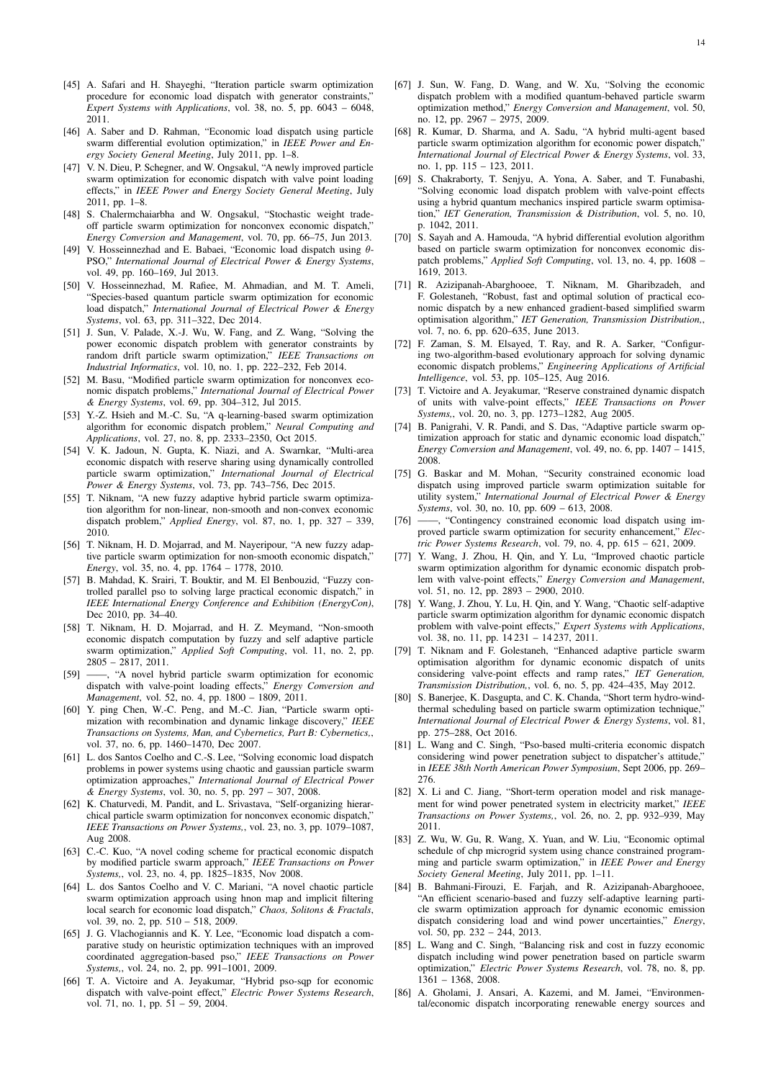- <span id="page-13-0"></span>[45] A. Safari and H. Shayeghi, "Iteration particle swarm optimization procedure for economic load dispatch with generator constraints," *Expert Systems with Applications*, vol. 38, no. 5, pp. 6043 – 6048, 2011.
- <span id="page-13-1"></span>[46] A. Saber and D. Rahman, "Economic load dispatch using particle swarm differential evolution optimization," in *IEEE Power and Energy Society General Meeting*, July 2011, pp. 1–8.
- <span id="page-13-2"></span>[47] V. N. Dieu, P. Schegner, and W. Ongsakul, "A newly improved particle swarm optimization for economic dispatch with valve point loading effects," in *IEEE Power and Energy Society General Meeting*, July 2011, pp. 1–8.
- <span id="page-13-3"></span>[48] S. Chalermchaiarbha and W. Ongsakul, "Stochastic weight tradeoff particle swarm optimization for nonconvex economic dispatch," *Energy Conversion and Management*, vol. 70, pp. 66–75, Jun 2013.
- <span id="page-13-4"></span>[49] V. Hosseinnezhad and E. Babaei, "Economic load dispatch using  $\theta$ -PSO," *International Journal of Electrical Power & Energy Systems*, vol. 49, pp. 160–169, Jul 2013.
- <span id="page-13-5"></span>[50] V. Hosseinnezhad, M. Rafiee, M. Ahmadian, and M. T. Ameli, "Species-based quantum particle swarm optimization for economic load dispatch," *International Journal of Electrical Power & Energy Systems*, vol. 63, pp. 311–322, Dec 2014.
- <span id="page-13-6"></span>[51] J. Sun, V. Palade, X.-J. Wu, W. Fang, and Z. Wang, "Solving the power economic dispatch problem with generator constraints by random drift particle swarm optimization," *IEEE Transactions on Industrial Informatics*, vol. 10, no. 1, pp. 222–232, Feb 2014.
- <span id="page-13-7"></span>[52] M. Basu, "Modified particle swarm optimization for nonconvex economic dispatch problems," *International Journal of Electrical Power & Energy Systems*, vol. 69, pp. 304–312, Jul 2015.
- <span id="page-13-8"></span>[53] Y.-Z. Hsieh and M.-C. Su, "A q-learning-based swarm optimization algorithm for economic dispatch problem," *Neural Computing and Applications*, vol. 27, no. 8, pp. 2333–2350, Oct 2015.
- <span id="page-13-9"></span>[54] V. K. Jadoun, N. Gupta, K. Niazi, and A. Swarnkar, "Multi-area economic dispatch with reserve sharing using dynamically controlled particle swarm optimization," *International Journal of Electrical Power & Energy Systems*, vol. 73, pp. 743–756, Dec 2015.
- <span id="page-13-10"></span>[55] T. Niknam, "A new fuzzy adaptive hybrid particle swarm optimization algorithm for non-linear, non-smooth and non-convex economic dispatch problem," *Applied Energy*, vol. 87, no. 1, pp. 327 – 339, 2010.
- <span id="page-13-11"></span>[56] T. Niknam, H. D. Mojarrad, and M. Nayeripour, "A new fuzzy adaptive particle swarm optimization for non-smooth economic dispatch," *Energy*, vol. 35, no. 4, pp. 1764 – 1778, 2010.
- <span id="page-13-12"></span>[57] B. Mahdad, K. Srairi, T. Bouktir, and M. El Benbouzid, "Fuzzy controlled parallel pso to solving large practical economic dispatch," in *IEEE International Energy Conference and Exhibition (EnergyCon)*, Dec 2010, pp. 34–40.
- <span id="page-13-13"></span>[58] T. Niknam, H. D. Mojarrad, and H. Z. Meymand, "Non-smooth economic dispatch computation by fuzzy and self adaptive particle swarm optimization," *Applied Soft Computing*, vol. 11, no. 2, pp. 2805 – 2817, 2011.
- <span id="page-13-14"></span>[59] ——, "A novel hybrid particle swarm optimization for economic dispatch with valve-point loading effects," *Energy Conversion and Management*, vol. 52, no. 4, pp. 1800 – 1809, 2011.
- <span id="page-13-15"></span>[60] Y. ping Chen, W.-C. Peng, and M.-C. Jian, "Particle swarm optimization with recombination and dynamic linkage discovery," *IEEE Transactions on Systems, Man, and Cybernetics, Part B: Cybernetics,*, vol. 37, no. 6, pp. 1460–1470, Dec 2007.
- <span id="page-13-16"></span>[61] L. dos Santos Coelho and C.-S. Lee, "Solving economic load dispatch problems in power systems using chaotic and gaussian particle swarm optimization approaches," *International Journal of Electrical Power & Energy Systems*, vol. 30, no. 5, pp. 297 – 307, 2008.
- <span id="page-13-17"></span>[62] K. Chaturvedi, M. Pandit, and L. Srivastava, "Self-organizing hierarchical particle swarm optimization for nonconvex economic dispatch," *IEEE Transactions on Power Systems,*, vol. 23, no. 3, pp. 1079–1087, Aug 2008.
- <span id="page-13-18"></span>[63] C.-C. Kuo, "A novel coding scheme for practical economic dispatch by modified particle swarm approach," *IEEE Transactions on Power Systems,*, vol. 23, no. 4, pp. 1825–1835, Nov 2008.
- <span id="page-13-19"></span>[64] L. dos Santos Coelho and V. C. Mariani, "A novel chaotic particle swarm optimization approach using hnon map and implicit filtering local search for economic load dispatch," *Chaos, Solitons & Fractals*, vol. 39, no. 2, pp. 510 – 518, 2009.
- <span id="page-13-20"></span>[65] J. G. Vlachogiannis and K. Y. Lee, "Economic load dispatch a comparative study on heuristic optimization techniques with an improved coordinated aggregation-based pso," *IEEE Transactions on Power Systems,*, vol. 24, no. 2, pp. 991–1001, 2009.
- <span id="page-13-21"></span>[66] T. A. Victoire and A. Jeyakumar, "Hybrid pso-sqp for economic dispatch with valve-point effect," *Electric Power Systems Research*, vol. 71, no. 1, pp. 51 – 59, 2004.
- <span id="page-13-22"></span>[67] J. Sun, W. Fang, D. Wang, and W. Xu, "Solving the economic dispatch problem with a modified quantum-behaved particle swarm optimization method," *Energy Conversion and Management*, vol. 50, no. 12, pp. 2967 – 2975, 2009.
- <span id="page-13-23"></span>[68] R. Kumar, D. Sharma, and A. Sadu, "A hybrid multi-agent based particle swarm optimization algorithm for economic power dispatch," *International Journal of Electrical Power & Energy Systems*, vol. 33, no. 1, pp. 115 – 123, 2011.
- <span id="page-13-24"></span>[69] S. Chakraborty, T. Senjyu, A. Yona, A. Saber, and T. Funabashi, "Solving economic load dispatch problem with valve-point effects using a hybrid quantum mechanics inspired particle swarm optimisation," *IET Generation, Transmission & Distribution*, vol. 5, no. 10, p. 1042, 2011.
- <span id="page-13-25"></span>[70] S. Sayah and A. Hamouda, "A hybrid differential evolution algorithm based on particle swarm optimization for nonconvex economic dispatch problems," *Applied Soft Computing*, vol. 13, no. 4, pp. 1608 – 1619, 2013.
- <span id="page-13-26"></span>[71] R. Azizipanah-Abarghooee, T. Niknam, M. Gharibzadeh, and F. Golestaneh, "Robust, fast and optimal solution of practical economic dispatch by a new enhanced gradient-based simplified swarm optimisation algorithm," *IET Generation, Transmission Distribution,*, vol. 7, no. 6, pp. 620–635, June 2013.
- <span id="page-13-27"></span>[72] F. Zaman, S. M. Elsayed, T. Ray, and R. A. Sarker, "Configuring two-algorithm-based evolutionary approach for solving dynamic economic dispatch problems," *Engineering Applications of Artificial Intelligence*, vol. 53, pp. 105–125, Aug 2016.
- <span id="page-13-28"></span>[73] T. Victoire and A. Jeyakumar, "Reserve constrained dynamic dispatch of units with valve-point effects," *IEEE Transactions on Power Systems,*, vol. 20, no. 3, pp. 1273–1282, Aug 2005.
- <span id="page-13-29"></span>[74] B. Panigrahi, V. R. Pandi, and S. Das, "Adaptive particle swarm optimization approach for static and dynamic economic load dispatch," *Energy Conversion and Management*, vol. 49, no. 6, pp. 1407 – 1415, 2008.
- <span id="page-13-30"></span>[75] G. Baskar and M. Mohan, "Security constrained economic load dispatch using improved particle swarm optimization suitable for utility system," *International Journal of Electrical Power & Energy Systems*, vol. 30, no. 10, pp. 609 – 613, 2008.
- <span id="page-13-31"></span>[76] ——, "Contingency constrained economic load dispatch using improved particle swarm optimization for security enhancement," *Electric Power Systems Research*, vol. 79, no. 4, pp. 615 – 621, 2009.
- <span id="page-13-32"></span>[77] Y. Wang, J. Zhou, H. Qin, and Y. Lu, "Improved chaotic particle swarm optimization algorithm for dynamic economic dispatch problem with valve-point effects," *Energy Conversion and Management*, vol. 51, no. 12, pp. 2893 - 2900, 2010.
- <span id="page-13-33"></span>[78] Y. Wang, J. Zhou, Y. Lu, H. Qin, and Y. Wang, "Chaotic self-adaptive particle swarm optimization algorithm for dynamic economic dispatch problem with valve-point effects," *Expert Systems with Applications*, vol. 38, no. 11, pp. 14 231 – 14 237, 2011.
- <span id="page-13-34"></span>[79] T. Niknam and F. Golestaneh, "Enhanced adaptive particle swarm optimisation algorithm for dynamic economic dispatch of units considering valve-point effects and ramp rates," *IET Generation, Transmission Distribution,*, vol. 6, no. 5, pp. 424–435, May 2012.
- <span id="page-13-35"></span>[80] S. Banerjee, K. Dasgupta, and C. K. Chanda, "Short term hydro-windthermal scheduling based on particle swarm optimization technique," *International Journal of Electrical Power & Energy Systems*, vol. 81, pp. 275–288, Oct 2016.
- <span id="page-13-36"></span>[81] L. Wang and C. Singh, "Pso-based multi-criteria economic dispatch considering wind power penetration subject to dispatcher's attitude,' in *IEEE 38th North American Power Symposium*, Sept 2006, pp. 269– 276.
- <span id="page-13-37"></span>[82] X. Li and C. Jiang, "Short-term operation model and risk management for wind power penetrated system in electricity market," *IEEE Transactions on Power Systems,*, vol. 26, no. 2, pp. 932–939, May 2011.
- <span id="page-13-38"></span>[83] Z. Wu, W. Gu, R. Wang, X. Yuan, and W. Liu, "Economic optimal schedule of chp microgrid system using chance constrained programming and particle swarm optimization," in *IEEE Power and Energy Society General Meeting*, July 2011, pp. 1–11.
- <span id="page-13-39"></span>[84] B. Bahmani-Firouzi, E. Farjah, and R. Azizipanah-Abarghooee, "An efficient scenario-based and fuzzy self-adaptive learning particle swarm optimization approach for dynamic economic emission dispatch considering load and wind power uncertainties," *Energy*, vol. 50, pp. 232 – 244, 2013.
- <span id="page-13-41"></span>[85] L. Wang and C. Singh, "Balancing risk and cost in fuzzy economic dispatch including wind power penetration based on particle swarm optimization," *Electric Power Systems Research*, vol. 78, no. 8, pp. 1361 – 1368, 2008.
- <span id="page-13-40"></span>[86] A. Gholami, J. Ansari, A. Kazemi, and M. Jamei, "Environmental/economic dispatch incorporating renewable energy sources and